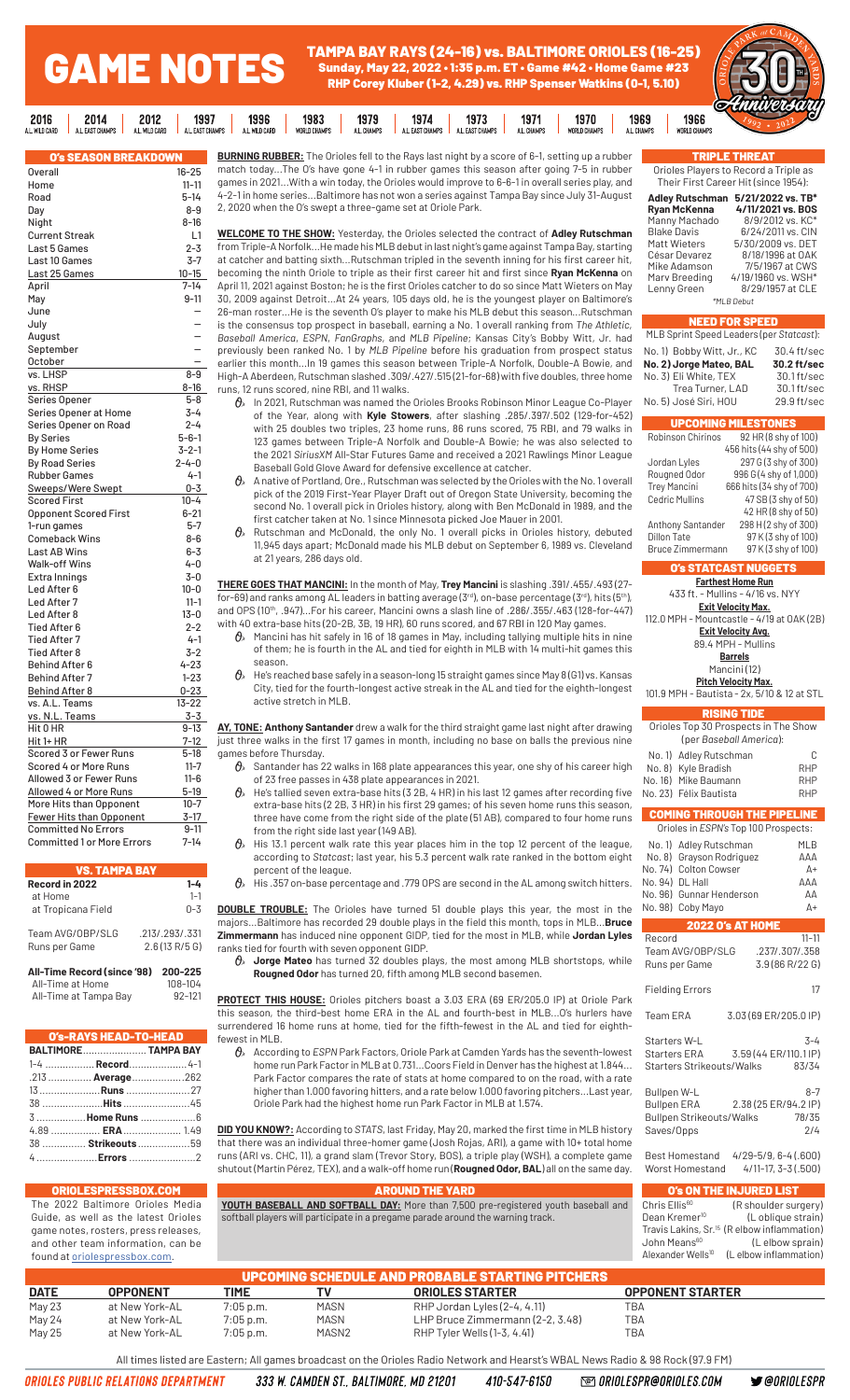#### GAME NOTES TAMPA BAY RAYS (24-16) vs. BALTIMORE ORIOLES (16-25) Sunday, May 22, 2022 • 1:35 p.m. ET • Game #42 • Home Game #23 RHP Corey Kluber (1-2, 4.29) vs. RHP Spenser Watkins (0-1, 5.10)

| 2016<br>2014<br>2012<br>1997                                         | 1983<br>1996<br>1979                          | 1973<br>1971<br>1974                                | 1966<br>1970<br>1969                        |  |
|----------------------------------------------------------------------|-----------------------------------------------|-----------------------------------------------------|---------------------------------------------|--|
| L. WILD CARD<br>ALL WILD CARD<br>A L. EAST CHAMPS<br>A I FAST CHAMPS | A.L. WILD CARD<br>WORLD CHAMPS<br>A.L. CHAMPS | A L. FAST CHAMPS<br>A.L. CHAMPS<br>A L. FAST CHAMPS | WORLD CHAMPS<br>A.L. CHAMPS<br>WORLD CHAMPS |  |
|                                                                      |                                               |                                                     |                                             |  |

| SON BREAKDO!<br><b>SEA</b>        |             |
|-----------------------------------|-------------|
| <b>Overall</b>                    | 16-25       |
| Home                              | $11 - 11$   |
| Road                              | 5-14        |
| Day                               | $8 - 9$     |
| Night                             | 8-16        |
| <b>Current Streak</b>             | L1          |
| Last 5 Games                      | $2 - 3$     |
| Last 10 Games                     | $3-7$       |
| Last 25 Games                     | $10 - 15$   |
| April                             | 7-14        |
| May                               | $9 - 11$    |
| June                              |             |
|                                   |             |
| July                              |             |
| August                            |             |
| September                         |             |
| October                           |             |
| vs. LHSP                          | $8 - 9$     |
| vs. RHSP                          | $8 - 16$    |
| Series Opener                     | $5 - 8$     |
| Series Opener at Home             | 3-4         |
| Series Opener on Road             | $2 - 4$     |
| <b>By Series</b>                  | $5 - 6 - 1$ |
| <b>By Home Series</b>             | $3 - 2 - 1$ |
| <b>By Road Series</b>             | $2 - 4 - 0$ |
| <b>Rubber Games</b>               | $4 - 1$     |
| Sweeps/Were Swept                 | $0 - 3$     |
| <b>Scored First</b>               | $10 - 4$    |
| <b>Opponent Scored First</b>      | $6 - 21$    |
| 1-run games                       | $5 - 7$     |
| <b>Comeback Wins</b>              | $8 - 6$     |
| <b>Last AB Wins</b>               | $6 - 3$     |
| <b>Walk-off Wins</b>              | 4-0         |
| Extra Innings                     | $3 - 0$     |
| Led After 6                       | $10 - 0$    |
| Led After 7                       | $11 - 1$    |
| Led After 8                       | $13 - 0$    |
| <b>Tied After 6</b>               | $2 - 2$     |
| <b>Tied After 7</b>               | $4 - 1$     |
| <b>Tied After 8</b>               | $3-2$       |
| <b>Behind After 6</b>             | $4 - 23$    |
| <b>Behind After 7</b>             | $1 - 23$    |
| <b>Behind After 8</b>             | $0 - 23$    |
| vs. A.L. Teams                    | $13 - 22$   |
| vs. N.L. Teams                    | 3-3         |
| Hit 0 HR                          | $9 - 13$    |
| Hit 1+ HR                         | $7 - 12$    |
| Scored 3 or Fewer Runs            | $5-18$      |
| Scored 4 or More Runs             | $11 - 7$    |
| Allowed 3 or Fewer Runs           | $11 - 6$    |
| Allowed 4 or More Runs            | $5 - 19$    |
| More Hits than Opponent           | $10 - 7$    |
| <b>Fewer Hits than Opponent</b>   | 3-17        |
| <b>Committed No Errors</b>        | $9 - 11$    |
| <b>Committed 1 or More Errors</b> | $7 - 14$    |
|                                   |             |

### **VS. TAMPA RAV**

| Record in 2022                      | 1-4                             |
|-------------------------------------|---------------------------------|
| at Home                             | $1 - 1$                         |
| at Tropicana Field                  | $0 - 3$                         |
| Team AVG/OBP/SLG<br>Runs per Game   | .213/.293/.331<br>2.6(13 R/5 G) |
| All-Time Record (since '98) 200-225 |                                 |
| All-Time at Home                    | 108-104                         |

All-Time at Tampa Bay 92-121

| O's-RAYS HEAD-TO-HEAD |                      |
|-----------------------|----------------------|
|                       | BALTIMORE TAMPA BAY  |
|                       | 1-4  Record 4-1      |
|                       | .213  Average 262    |
|                       |                      |
|                       | 38 <b>Hits</b> 45    |
|                       | 3 <b>Home Runs</b> 6 |
|                       |                      |

38 ............... **Strikeouts** ..................59 4 .....................**Errors** .......................2

**BURNING RUBBER:** The Orioles fell to the Rays last night by a score of 6-1, setting up a rubber match today...The O's have gone 4-1 in rubber games this season after going 7-5 in rubber games in 2021...With a win today, the Orioles would improve to 6-6-1 in overall series play, and 4-2-1 in home series...Baltimore has not won a series against Tampa Bay since July 31-August 2, 2020 when the O's swept a three-game set at Oriole Park.

**WELCOME TO THE SHOW:** Yesterday, the Orioles selected the contract of **Adley Rutschman** from Triple-A Norfolk...He made his MLB debut in last night's game against Tampa Bay, starting at catcher and batting sixth...Rutschman tripled in the seventh inning for his first career hit, becoming the ninth Oriole to triple as their first career hit and first since **Ryan McKenna** on April 11, 2021 against Boston; he is the first Orioles catcher to do so since Matt Wieters on May 30, 2009 against Detroit...At 24 years, 105 days old, he is the youngest player on Baltimore's 26-man roster...He is the seventh O's player to make his MLB debut this season...Rutschman is the consensus top prospect in baseball, earning a No. 1 overall ranking from *The Athletic*, *Baseball America*, *ESPN*, *FanGraphs*, and *MLB Pipeline*; Kansas City's Bobby Witt, Jr. had previously been ranked No. 1 by *MLB Pipeline* before his graduation from prospect status earlier this month...In 19 games this season between Triple-A Norfolk, Double-A Bowie, and High-A Aberdeen, Rutschman slashed .309/.427/.515 (21-for-68) with five doubles, three home runs, 12 runs scored, nine RBI, and 11 walks.

- $\hat{\theta}_s$  In 2021, Rutschman was named the Orioles Brooks Robinson Minor League Co-Player of the Year, along with **Kyle Stowers**, after slashing .285/.397/.502 (129-for-452) with 25 doubles two triples, 23 home runs, 86 runs scored, 75 RBI, and 79 walks in 123 games between Triple-A Norfolk and Double-A Bowie; he was also selected to the 2021 *SiriusXM* All-Star Futures Game and received a 2021 Rawlings Minor League Baseball Gold Glove Award for defensive excellence at catcher.
- A native of Portland, Ore., Rutschman was selected by the Orioles with the No. 1 overall pick of the 2019 First-Year Player Draft out of Oregon State University, becoming the second No. 1 overall pick in Orioles history, along with Ben McDonald in 1989, and the first catcher taken at No. 1 since Minnesota picked Joe Mauer in 2001.
- $\theta$  Rutschman and McDonald, the only No. 1 overall picks in Orioles history, debuted 11,945 days apart; McDonald made his MLB debut on September 6, 1989 vs. Cleveland at 21 years, 286 days old.

**THERE GOES THAT MANCINI:** In the month of May, **Trey Mancini** is slashing .391/.455/.493 (27 for-69) and ranks among AL leaders in batting average (3rd), on-base percentage (3rd), hits (5th), and OPS (10<sup>th</sup>, .947)...For his career, Mancini owns a slash line of .286/.355/.463 (128-for-447) with 40 extra-base hits (20-2B, 3B, 19 HR), 60 runs scored, and 67 RBI in 120 May games.

- $\theta$  Mancini has hit safely in 16 of 18 games in May, including tallying multiple hits in nine of them; he is fourth in the AL and tied for eighth in MLB with 14 multi-hit games this season.
- $\vartheta_{\!s}\;$  He's reached base safely in a season-long 15 straight games since May 8 (G1) vs. Kansas City, tied for the fourth-longest active streak in the AL and tied for the eighth-longest active stretch in MLB.

**AY, TONE: Anthony Santander** drew a walk for the third straight game last night after drawing just three walks in the first 17 games in month, including no base on balls the previous nine games before Thursday.

- $\theta$  Santander has 22 walks in 168 plate appearances this year, one shy of his career high of 23 free passes in 438 plate appearances in 2021.
- $\theta$  He's tallied seven extra-base hits (3 2B, 4 HR) in his last 12 games after recording five extra-base hits (2 2B, 3 HR) in his first 29 games; of his seven home runs this season, three have come from the right side of the plate (51 AB), compared to four home runs from the right side last year (149 AB).
- $\theta$ <sup>\*</sup> His 13.1 percent walk rate this year places him in the top 12 percent of the league, according to *Statcast*; last year, his 5.3 percent walk rate ranked in the bottom eight percent of the league.
- $\theta_{\scriptscriptstyle{\ell}}$  His .357 on-base percentage and .779 OPS are second in the AL among switch hitters.

No. 98) Coby Mayo A+ **DOUBLE TROUBLE:** The Orioles have turned 51 double plays this year, the most in the majors...Baltimore has recorded 29 double plays in the field this month, tops in MLB...**Bruce Zimmermann** has induced nine opponent GIDP, tied for the most in MLB, while **Jordan Lyles** ranks tied for fourth with seven opponent GIDP.

Runs per Game 3.9 (86 R/22 G)  $\theta$ <sub>»</sub> Jorge Mateo has turned 32 doubles plays, the most among MLB shortstops, while **Rougned Odor** has turned 20, fifth among MLB second basemen.

**PROTECT THIS HOUSE:** Orioles pitchers boast a 3.03 ERA (69 ER/205.0 IP) at Oriole Park this season, the third-best home ERA in the AL and fourth-best in MLB...O's hurlers have surrendered 16 home runs at home, tied for the fifth-fewest in the AL and tied for eighthfewest in MLB.

 According to *ESPN* Park Factors, Oriole Park at Camden Yards has the seventh-lowest home run Park Factor in MLB at 0.731...Coors Field in Denver has the highest at 1.844... Park Factor compares the rate of stats at home compared to on the road, with a rate higher than 1.000 favoring hitters, and a rate below 1.000 favoring pitchers...Last year, Oriole Park had the highest home run Park Factor in MLB at 1.574.

**DID YOU KNOW?:** According to *STATS*, last Friday, May 20, marked the first time in MLB history that there was an individual three-homer game (Josh Rojas, ARI), a game with 10+ total home runs (ARI vs. CHC, 11), a grand slam (Trevor Story, BOS), a triple play (WSH), a complete game shutout (Martín Pérez, TEX), and a walk-off home run (**Rougned Odor, BAL**) all on the same day.

|             | <b>ORIOLESPRESSBOX.COM</b>                                                                                                                                                              |             |                                                                                                                                                                       | <b>AROUND THE YARD</b>                                  |                                                                                                                     | O's ON THE INJURED LIST                                                                                                                            |  |  |  |
|-------------|-----------------------------------------------------------------------------------------------------------------------------------------------------------------------------------------|-------------|-----------------------------------------------------------------------------------------------------------------------------------------------------------------------|---------------------------------------------------------|---------------------------------------------------------------------------------------------------------------------|----------------------------------------------------------------------------------------------------------------------------------------------------|--|--|--|
|             | The 2022 Baltimore Orioles Media<br>Guide, as well as the latest Orioles<br>game notes, rosters, press releases,<br>and other team information, can be<br>found at oriolespressbox.com. |             | YOUTH BASEBALL AND SOFTBALL DAY: More than 7,500 pre-registered youth baseball and<br>softball players will participate in a pregame parade around the warning track. |                                                         | Chris Ellis <sup>60</sup><br>Dean Kremer <sup>10</sup><br>John Means <sup>60</sup><br>Alexander Wells <sup>10</sup> | (R shoulder surgery)<br>(L oblique strain)<br>Travis Lakins, Sr. <sup>15</sup> (Relbow inflammation)<br>(L elbow sprain)<br>(L elbow inflammation) |  |  |  |
|             |                                                                                                                                                                                         |             |                                                                                                                                                                       | <b>UPCOMING SCHEDULE AND PROBABLE STARTING PITCHERS</b> |                                                                                                                     |                                                                                                                                                    |  |  |  |
| <b>DATE</b> | <b>OPPONENT</b>                                                                                                                                                                         | <b>TIME</b> | ΤV                                                                                                                                                                    | <b>ORIOLES STARTER</b>                                  |                                                                                                                     | <b>OPPONENT STARTER</b>                                                                                                                            |  |  |  |
| May 23      | at New York-AL                                                                                                                                                                          | $7:05$ p.m. | MASN                                                                                                                                                                  | RHP Jordan Lyles (2-4, 4.11)                            | TBA                                                                                                                 |                                                                                                                                                    |  |  |  |
| May 24      | at New York-AL                                                                                                                                                                          | $7:05$ p.m. | MASN                                                                                                                                                                  | LHP Bruce Zimmermann (2-2, 3.48)                        | TBA                                                                                                                 |                                                                                                                                                    |  |  |  |

410-547-6150

All times listed are Eastern; All games broadcast on the Orioles Radio Network and Hearst's WBAL News Radio & 98 Rock (97.9 FM)

May 25 at New York-AL 7:05 p.m. MASN2 RHP Tyler Wells (1-3, 4.41) TBA

333 W. CAMDEN ST., BALTIMORE, MD 21201

COMING THROUGH THE PIPELINE Orioles in *ESPN's* Top 100 Prospects: No. 1) Adley Rutschman MLB No. 8) Grayson Rodriguez AAA No. 74) Colton Cowser A+

No. 23) Félix Bautista RHP

RISING TIDE Orioles Top 30 Prospects in The Show (per *Baseball America*): No. 1) Adley Rutschman C No. 8) Kyle Bradish RHP

O's STATCAST NUGGETS **Farthest Home Run** 433 ft. - Mullins - 4/16 vs. NYY **Exit Velocity Max.** 112.0 MPH - Mountcastle - 4/19 at OAK (2B) **Exit Velocity Avg.** 89.4 MPH - Mullins **Barrels** Mancini (12) **Pitch Velocity Max.** 101.9 MPH - Bautista - 2x, 5/10 & 12 at STL

Anthony Santander 298 H (2 shy of 300)<br>Dillon Tate 97 K (3 shy of 100)

Bruce Zimmermann

**UPCOMING MILESTONE**<br>Robinson Chirinos 92 HR (8 shy

**No. 2)** Jorge Mateo, BAL

No. 5) José Siri, HOU

456 hits (44 shy of 500)<br>Jordan Lyles 297 G (3 shy of 300)

TRIPLE THREAT Orioles Players to Record a Triple as Their First Career Hit (since 1954): **Adley Rutschman 5/21/2022 vs. TB\***

Manny Machado 8/9/2012 vs. KC<br>Blake Davis 6/24/2011 vs. CIN<br>Matt Wieters 5/30/2009 vs. DET Blake Davis 6/24/2011 vs. CIN Matt Wieters 5/30/2009 vs. DET César Devarez 8/18/1996 at OAK<br>Mike Adamson 7/5/1967 at CWS

Marv Breeding 4/19/1960 vs. WSH\*<br>Lenny Green 8/29/1957 at CLE

*\*MLB Debut*

NEED FOR SPEED MLB Sprint Speed Leaders (per *Statcast*): No. 1) Bobby Witt, Jr., KC 30.4 ft/sec<br>No. 2) Jorge Mateo, BAL 30.2 ft/sec

No. 3) Eli White, TEX 30.1 ft/sec Trea Turner, LAD 30.1 ft/sec<br>José Siri, HOU 29.9 ft/sec

Rougned Odor 996 G (4 shy of 1,000) Trey Mancini 666 hits (34 shy of 700)<br>Cedric Mullins 47 SB (3 shy of 50)

92 HR (8 shy of 100)

**Ryan McKenna 4/11/2021 vs. BOS**

7/5/1967 at CWS

8/29/1957 at CLE

297 G (3 shy of 300)

47 SB (3 shy of 50) 42 HR (8 shy of 50)

97 K (3 shy of 100)<br>97 K (3 shy of 100)

No. 96) Gunnar Henderson AA

2022 O's AT HOME Record 11-11<br>Team AVG/OBP/SLG .237/.307/.358

Fielding Errors 17 Team ERA 3.03 (69 ER/205.0 IP) Starters W-L 3-4 Starters ERA 3.59 (44 ER/110.1 IP) Starters Strikeouts/Walks 83/34 Bullpen W-L 8-7 Bullpen ERA 2.38 (25 ER/94.2 IP) Bullpen Strikeouts/Walks 78/35 Saves/Opps 2/4 Best Homestand 4/29-5/9, 6-4 (.600) Worst Homestand 4/11-17, 3-3 (.500)

No. 94) DL Hall

Team AVG/OBP/SLG

No. 16) Mike Baumann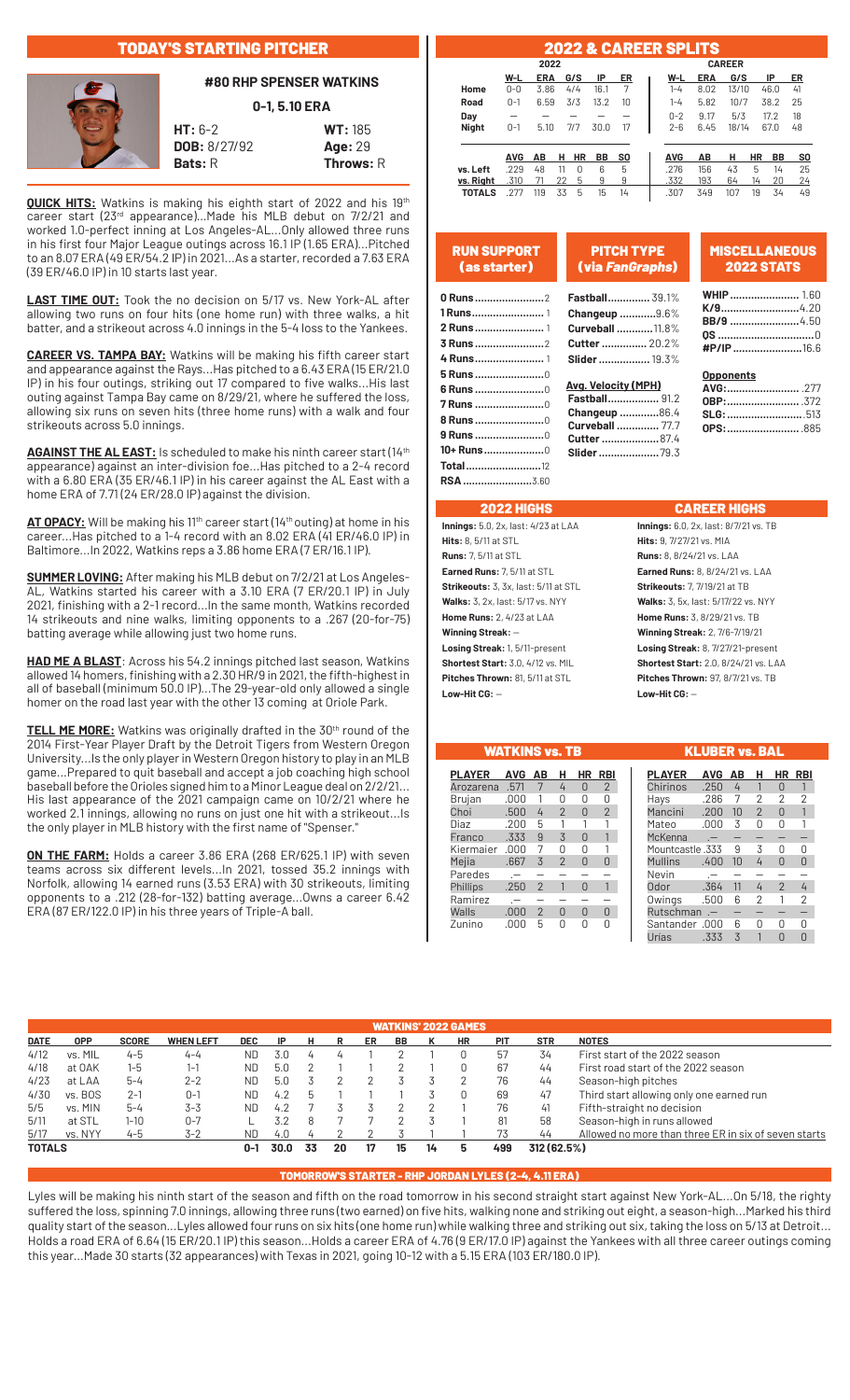## TODAY'S STARTING PITCHER

### **#80 RHP SPENSER WATKINS**

**0-1, 5.10 ERA**



**HT:** 6-2 **WT:** 185 **DOB:** 8/27/92 **Age:** 29

**Bats:** R **Throws:** R

**QUICK HITS:** Watkins is making his eighth start of 2022 and his 19th career start (23rd appearance)... Made his MLB debut on 7/2/21 and worked 1.0-perfect inning at Los Angeles-AL...Only allowed three runs in his first four Major League outings across 16.1 IP (1.65 ERA)...Pitched to an 8.07 ERA (49 ER/54.2 IP) in 2021...As a starter, recorded a 7.63 ERA (39 ER/46.0 IP) in 10 starts last year.

**LAST TIME OUT:** Took the no decision on 5/17 vs. New York-AL after allowing two runs on four hits (one home run) with three walks, a hit batter, and a strikeout across 4.0 innings in the 5-4 loss to the Yankees.

**CAREER VS. TAMPA BAY:** Watkins will be making his fifth career start and appearance against the Rays...Has pitched to a 6.43 ERA (15 ER/21.0 IP) in his four outings, striking out 17 compared to five walks...His last outing against Tampa Bay came on 8/29/21, where he suffered the loss, allowing six runs on seven hits (three home runs) with a walk and four strikeouts across 5.0 innings.

AGAINST THE AL EAST: Is scheduled to make his ninth career start (14<sup>th</sup> appearance) against an inter-division foe...Has pitched to a 2-4 record with a 6.80 ERA (35 ER/46.1 IP) in his career against the AL East with a home ERA of 7.71 (24 ER/28.0 IP) against the division.

AT OPACY: Will be making his 11<sup>th</sup> career start (14<sup>th</sup> outing) at home in his career...Has pitched to a 1-4 record with an 8.02 ERA (41 ER/46.0 IP) in Baltimore...In 2022, Watkins reps a 3.86 home ERA (7 ER/16.1 IP).

**SUMMER LOVING:** After making his MLB debut on 7/2/21 at Los Angeles-AL, Watkins started his career with a 3.10 ERA (7 ER/20.1 IP) in July 2021, finishing with a 2-1 record...In the same month, Watkins recorded 14 strikeouts and nine walks, limiting opponents to a .267 (20-for-75) batting average while allowing just two home runs.

**HAD ME A BLAST**: Across his 54.2 innings pitched last season, Watkins allowed 14 homers, finishing with a 2.30 HR/9 in 2021, the fifth-highest in all of baseball (minimum 50.0 IP)...The 29-year-old only allowed a single homer on the road last year with the other 13 coming at Oriole Park.

**TELL ME MORE:** Watkins was originally drafted in the 30<sup>th</sup> round of the 2014 First-Year Player Draft by the Detroit Tigers from Western Oregon University...Is the only player in Western Oregon history to play in an MLB game...Prepared to quit baseball and accept a job coaching high school baseball before the Orioles signed him to a Minor League deal on 2/2/21... His last appearance of the 2021 campaign came on 10/2/21 where he worked 2.1 innings, allowing no runs on just one hit with a strikeout...Is the only player in MLB history with the first name of "Spenser."

**ON THE FARM:** Holds a career 3.86 ERA (268 ER/625.1 IP) with seven teams across six different levels...In 2021, tossed 35.2 innings with Norfolk, allowing 14 earned runs (3.53 ERA) with 30 strikeouts, limiting opponents to a .212 (28-for-132) batting average...Owns a career 6.42 ERA (87 ER/122.0 IP) in his three years of Triple-A ball.

|               |            |            |    |               |      |                |  |            | <b>2022 &amp; CAREER SPLITS</b> |       |    |      |    |
|---------------|------------|------------|----|---------------|------|----------------|--|------------|---------------------------------|-------|----|------|----|
|               |            | 2022       |    | <b>CAREER</b> |      |                |  |            |                                 |       |    |      |    |
|               | W-L        | <b>ERA</b> |    | G/S           | IP   | ER             |  | W-L        | <b>ERA</b>                      | G/S   |    | IP   | ER |
| Home          | $0 - 0$    | 3.86       |    | 4/4           | 16.1 | 7              |  | $1 - 4$    | 8.02                            | 13/10 |    | 46.0 | 41 |
| Road          | $0 - 1$    | 6.59       |    | 3/3           | 13.2 | 10             |  | $1 - 4$    | 5.82                            | 10/7  |    | 38.2 | 25 |
| Day           |            |            |    |               |      |                |  | $0 - 2$    | 9.17                            | 5/3   |    | 17.2 | 18 |
| <b>Night</b>  | $0 - 1$    | 5.10       |    | 7/7           | 30.0 | 17             |  | $2 - 6$    | 6.45                            | 18/14 |    | 67.0 | 48 |
|               |            |            |    |               |      |                |  |            |                                 |       |    |      |    |
|               | <b>AVG</b> | АΒ         | н  | HR            | BB   | S <sub>0</sub> |  | <b>AVG</b> | AB                              | н     | HR | BB   | s  |
| vs. Left      | .229       | 48         | 11 | U             | 6    | 5              |  | .276       | 156                             | 43    | 5  | 14   | 2  |
| vs. Right     | .310       | 71         | 22 | 5             | 9    | 9              |  | .332       | 193                             | 64    | 14 | 20   | 2  |
| <b>TOTALS</b> | .277       | 119        | 33 | 5             | 15   | 14             |  | .307       | 349                             | 107   | 19 | 34   | L  |

| Road                            | $0 - 1$           |      | 6.59 3/3 |          | 13.2 |      | $1 - 4$    | 5.82       | 10/7 |    | 38.2 | - 25      |
|---------------------------------|-------------------|------|----------|----------|------|------|------------|------------|------|----|------|-----------|
| Day                             |                   |      |          |          |      |      | $0 - 2$    | 9.17       | 5/3  |    | 17.2 | 18        |
| Night                           | $0 - 1$           | 5.10 |          | 7/7      | 30.0 | - 17 | $2 - 6$    | 6.45 18/14 |      |    | 67.0 | - 48      |
|                                 |                   |      |          |          |      |      |            |            |      |    |      |           |
|                                 |                   |      |          |          |      |      |            |            |      |    |      |           |
|                                 | AVG AB H HR BB SO |      |          |          |      |      | <b>AVG</b> | AB H HR    |      |    | BB   | <b>SO</b> |
| vs. Left                        | .229              | 48   | -11      | $\Omega$ | - 6  | 5    | .276       | 156        | 43   | 5  | 14   | 25        |
| <b>vs. Right</b> .310 71 22 5 9 |                   |      |          |          |      | - 9  | .332       | 193        | 64   | 14 | 20   | 24        |

| <b>RUN SUPPORT</b>                                                                                  | <b>PITCH TYPE</b>                                                                                                                          | <b>MISCELLANEOUS</b>                            |
|-----------------------------------------------------------------------------------------------------|--------------------------------------------------------------------------------------------------------------------------------------------|-------------------------------------------------|
| (as starter)                                                                                        | (via FanGraphs)                                                                                                                            | <b>2022 STATS</b>                               |
|                                                                                                     | <b>Fastball</b> 39.1%                                                                                                                      | <b>WHIP</b> 1.60                                |
|                                                                                                     | Changeup 9.6%                                                                                                                              | $K/9$ 4.20                                      |
|                                                                                                     | <b>Curveball 11.8%</b>                                                                                                                     | <b>BB/9</b> 4.50                                |
|                                                                                                     | <b>Cutter </b> 20.2%                                                                                                                       |                                                 |
|                                                                                                     | <b>Slider </b> 19.3%                                                                                                                       | #P/IP 16.6                                      |
| <b>5 Runs </b> 0<br><b>7 Runs </b> 0<br>8 Runs 0<br><b>9 Runs 0</b><br>10+ Runs0<br><b>Total</b> 12 | <b>Avg. Velocity (MPH)</b><br><b>Fastball</b> 91.2<br>Changeup 86.4<br><b>Curveball </b> 77.7<br><b>Cutter  87.4</b><br><b>Slider 79.3</b> | <b>Opponents</b><br><b>OBP:</b> 372<br>SLG: 513 |
|                                                                                                     |                                                                                                                                            |                                                 |

### 2022 HIGHS CAREER HIGHS

**Hits:** 8, 5/11 at STL **Hits:** 9, 7/27/21 vs. MIA **Runs:** 7, 5/11 at STL **Runs:** 8, 8/24/21 vs. LAA **Earned Runs:** 7, 5/11 at STL **Earned Runs:** 8, 8/24/21 vs. LAA **Strikeouts:** 3, 3x, last: 5/11 at STL **Strikeouts:** 7, 7/19/21 at TB **Walks:** 3, 2x, last: 5/17 vs. NYY **Walks:** 3, 5x, last: 5/17/22 vs. NYY<br> **Home Runs:** 2, 4/23 at LAA **Home Runs:** 3, 8/29/21 vs. TB **Winning Streak:** — **Winning Streak:** 2, 7/6-7/19/21 **Losing Streak:** 1, 5/11-present **Losing Streak:** 8, 7/27/21-present **Pitches Thrown:** 81, 5/11 at STL **Pitches Thrown:** 97, 8/7/21 vs. TB **Low-Hit CG:** — **Low-Hit CG:** —

**Innings:** 5.0, 2x, last: 4/23 at LAA **Innings:** 6.0, 2x, last: 8/7/21 vs. TB **Home Runs:** 3, 8/29/21 vs. TB **Shortest Start:** 3.0, 4/12 vs. MIL **Shortest Start:** 2.0, 8/24/21 vs. LAA

WATKINS vs. TB KLUBER vs. BAL **PLAYER AVG AB H HR RBI** Arozarena .571 7 4 0 2 Brujan .000 1 0 0 0<br>Choi .500 4 2 0 2 اب Choi .500<br>200 5 2nn Diaz .200 5 1 1 1<br>Franco .333 9 3 0 1<br>Kiermaier 000 7 0 0 1 Franco .333 9 3 0<br>Kiermaier .000 7 0 0 Kiermaier .000 7 0 0 1 Mejia Paredes .— — — — —<br>Phillips .250 2 1 0 1  $.250$  2 Ramirez .— — — — — Walls .000 2 0 0 0 Zunino

| <b>PLAYER</b>    | <b>AVG</b>     | ΔВ | н              | ΗR             | RBI |
|------------------|----------------|----|----------------|----------------|-----|
| Chirinos         | .250           | 4  | 1              | N              |     |
| Hays             | .286           | 7  | 2              | $\overline{2}$ | 2   |
| Mancini          | .200           | 10 | $\overline{2}$ | N              |     |
| Mateo            | .000           | 3  | N              | N              |     |
| McKenna          | .-             |    |                |                |     |
| 333. Mountcastle |                | 9  | 3              | Λ              | N   |
| <b>Mullins</b>   | .400           | 10 | 4              | ∩              | ⋂   |
| Nevin            |                |    |                |                |     |
| Odor             | .364           | 11 | 4              | $\overline{2}$ | 4   |
| Owings           | .500           | 6  | 2              | 1              | 2   |
| Rutschman        | $\overline{a}$ |    |                |                |     |
| Santander .000   |                | 6  | ⋂              | Π              | N   |
| Jrías            | .333           | 3  |                |                | ⋂   |

|             |            |              |                  |            |      |    |    |    |    |    | <b>WATKINS' 2022 GAMES</b> |            |             |                                                      |
|-------------|------------|--------------|------------------|------------|------|----|----|----|----|----|----------------------------|------------|-------------|------------------------------------------------------|
| <b>DATE</b> | <b>OPP</b> | <b>SCORE</b> | <b>WHEN LEFT</b> | <b>DEC</b> | IP   | н  | R  | ER | BB |    | <b>HR</b>                  | <b>PIT</b> | <b>STR</b>  | <b>NOTES</b>                                         |
| 4/12        | vs. MIL    | $4 - 5$      | $4 - 4$          | ND         | 3.0  | 4  |    |    |    |    | 0                          | 57         | 34          | First start of the 2022 season                       |
| 4/18        | at OAK     | 1-5          | $1 - 1$          | ND.        | 5.0  |    |    |    |    |    | 0                          | 67         | 44          | First road start of the 2022 season                  |
| 4/23        | at LAA     | $5 - 4$      | $2 - 2$          | <b>ND</b>  | 5.0  |    |    |    |    |    | 2                          | 76         | 44          | Season-high pitches                                  |
| 4/30        | vs. BOS    | $2 - 1$      | $0 - 1$          | ND         | 4.2  | b  |    |    |    |    | 0                          | 69         | 47          | Third start allowing only one earned run             |
| 5/5         | vs. MIN    | $5 - 4$      | $3 - 3$          | ND.        | 4.2  |    |    |    |    |    |                            | 76         | 41          | Fifth-straight no decision                           |
| 5/11        | at STL     | $1 - 10$     | $0 - 7$          |            | 3.2  | 8  |    |    | っ  |    |                            | 81         | 58          | Season-high in runs allowed                          |
| 5/17        | vs. NYY    | $4 - 5$      | $3 - 2$          | ND.        | 4.0  |    |    |    |    |    |                            | 73         | 44          | Allowed no more than three ER in six of seven starts |
| TOTALS      |            |              |                  | 0-1        | 30.0 | 33 | 20 | 17 | 15 | 14 | 5                          | 499        | 312 (62.5%) |                                                      |
|             |            |              |                  |            |      |    |    |    |    |    |                            |            |             |                                                      |

### TOMORROW'S STARTER - RHP JORDAN LYLES (2-4, 4.11 ERA)

Lyles will be making his ninth start of the season and fifth on the road tomorrow in his second straight start against New York-AL...On 5/18, the righty suffered the loss, spinning 7.0 innings, allowing three runs (two earned) on five hits, walking none and striking out eight, a season-high...Marked his third quality start of the season...Lyles allowed four runs on six hits (one home run) while walking three and striking out six, taking the loss on 5/13 at Detroit... Holds a road ERA of 6.64 (15 ER/20.1 IP) this season...Holds a career ERA of 4.76 (9 ER/17.0 IP) against the Yankees with all three career outings coming this year...Made 30 starts (32 appearances) with Texas in 2021, going 10-12 with a 5.15 ERA (103 ER/180.0 IP).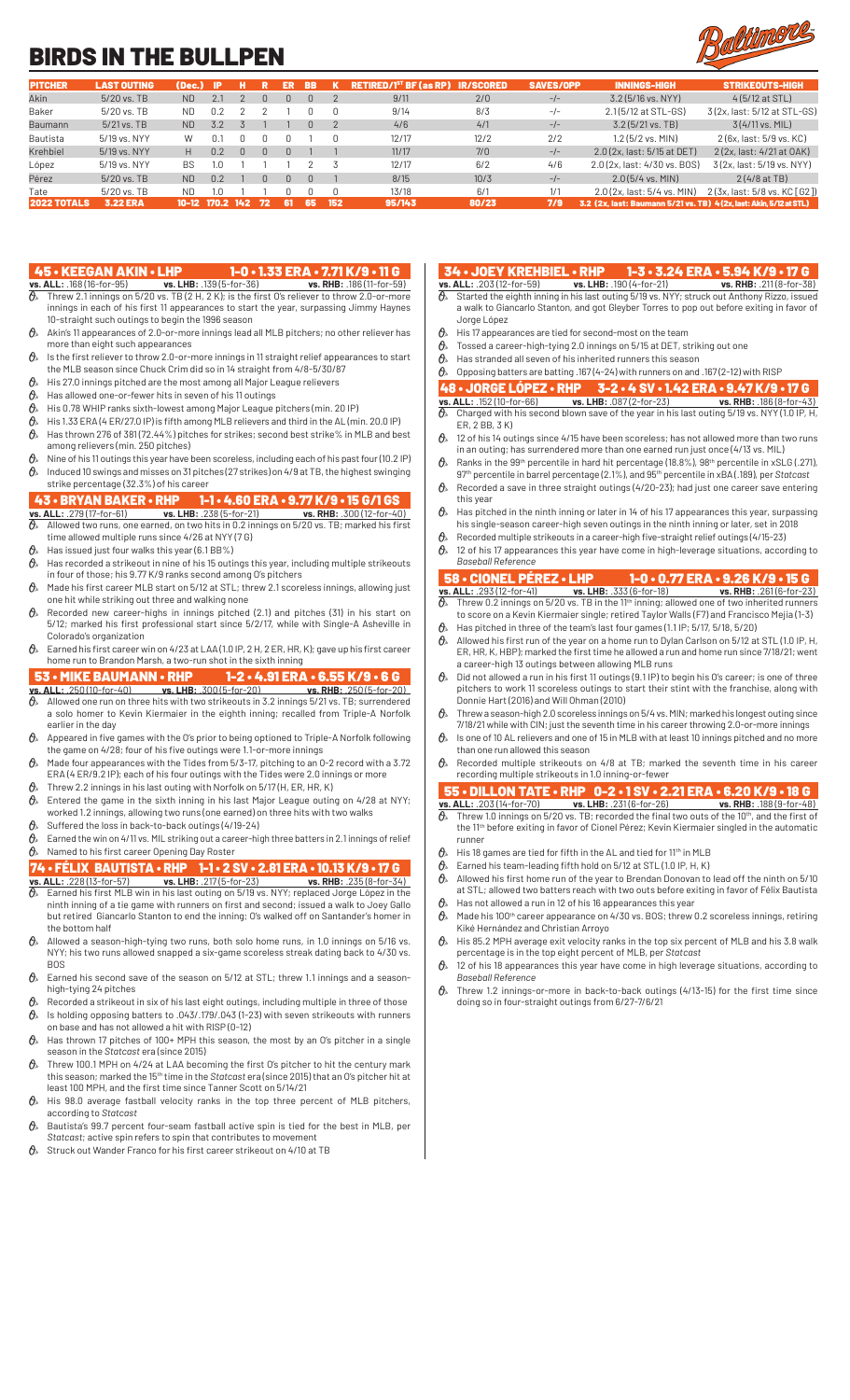# BIRDS IN THE BULLPEN



| <b>PITCHER</b>     | <b>LAST OUTING</b> | (Dec.)    | -IP     |      |    | ER     | <b>BB</b> |     | <b>RETIRED/1<sup>st</sup> BF (as RP) IR/SCORED</b> |       | <b>SAVES/OPP</b> | <b>INNINGS-HIGH</b>                                                | <b>STRIKEOUTS-HIGH</b>          |
|--------------------|--------------------|-----------|---------|------|----|--------|-----------|-----|----------------------------------------------------|-------|------------------|--------------------------------------------------------------------|---------------------------------|
| Akin               | 5/20 vs. TB        | <b>ND</b> | 2.1     |      | N  | n.     | $\Box$    |     | 9/11                                               | 2/0   | $-/-$            | $3.2(5/16 \text{ vs. } NYY)$                                       | $4(5/12$ at STL)                |
| Baker              | $5/20$ vs. TB      | ND.       | 0.2     |      |    |        |           |     | 9/14                                               | 8/3   | $-/-$            | 2.1(5/12 at STL-GS)                                                | 3(2x, last: 5/12 at STL-GS)     |
| Baumann            | $5/21$ vs. TB      | <b>ND</b> | 3.2     |      |    |        | $\Box$    |     | 4/6                                                | 4/1   | $-/-$            | $3.2(5/21$ vs. TB)                                                 | $3(4/11 \text{ vs. } MIL)$      |
| Bautista           | 5/19 vs. NYY       | W         | 0.1     |      |    |        |           |     | 12/17                                              | 12/2  | 2/2              | $1.2(5/2$ vs. MIN)                                                 | 2 (6x, last: 5/9 vs, KC)        |
| Krehbiel           | 5/19 vs. NYY       | H.        | 0.2     |      | N  | $\Box$ |           |     | 11/17                                              | 7/0   | $-/-$            | 2.0 (2x, last: 5/15 at DET)                                        | 2 (2x, last: 4/21 at OAK)       |
| López              | 5/19 vs. NYY       | BS.       | 1.0     |      |    |        |           |     | 12/17                                              | 6/2   | 4/6              | 2.0 (2x, last: 4/30 vs, BOS)                                       | 3(2x, last: 5/19 vs. NYY)       |
| Pérez              | 5/20 vs. TB        | <b>ND</b> | 0.2     |      | N  | n.     | $\Box$    |     | 8/15                                               | 10/3  | $-/-$            | $2.0(5/4$ vs. MIN)                                                 | $2(4/8at$ TB)                   |
| Tate               | $5/20$ vs. TB      | ND.       | 1.0     |      |    |        |           |     | 13/18                                              | 6/1   | 1/1              | 2.0 (2x, last: 5/4 vs, MIN)                                        | 2 (3x, last: 5/8 vs, KC [ G2 ]) |
| <b>2022 TOTALS</b> | <b>3.22 ERA</b>    | $10 - 12$ | - 170.2 | -142 | 72 | -61    | -65       | 152 | 95/143                                             | 80/23 | 7/9              | 3.2 (2x, last: Baumann 5/21 vs. TB) 4(2x, last: Akin, 5/12 at STL) |                                 |

- 45 KEEGAN AKIN LHP 1-0 1.33 ERA 7.71 K/9 11 G<br>vs. ALL: .168 (16-for-95) vs. LHB: .139 (5-for-36) vs. RHB: .186 (11-for-59)<br> $\frac{1}{0}$  Threw 2.1 innings on 5/20 vs. TR (2 H, 2 K), is the first of all the set of 11 **vs. ALL:** .168 (16-for-95) **vs. LHB:** .139 (5-for-36) **vs. RHB:** .186 (11-for-59)  $\partial\!\!\!/_s$  Threw 2.1 innings on 5/20 vs. TB (2 H, 2 K); is the first O's reliever to throw 2.0-or-more innings in each of his first 11 appearances to start the year, surpassing Jimmy Haynes 10-straight such outings to begin the 1996 season
- $\theta$  Akin's 11 appearances of 2.0-or-more innings lead all MLB pitchers; no other reliever has more than eight such appearances
- $\vartheta$   $\!\!\hat{}$   $\!\!\hat{}$  Is the first reliever to throw 2.0-or-more innings in 11 straight relief appearances to start the MLB season since Chuck Crim did so in 14 straight from 4/8-5/30/87
- $\theta$  His 27.0 innings pitched are the most among all Major League relievers
- $\theta$ » Has allowed one-or-fewer hits in seven of his 11 outings
- $\theta$  His 0.78 WHIP ranks sixth-lowest among Major League pitchers (min. 20 IP)
- $\hat{\theta}_*$  His 1.33 ERA (4 ER/27.0 IP) is fifth among MLB relievers and third in the AL (min. 20.0 IP)  $\theta$  Has thrown 276 of 381 (72.44%) pitches for strikes; second best strike% in MLB and best among relievers (min. 250 pitches)
- $\theta$  Nine of his 11 outings this year have been scoreless, including each of his past four (10.2 IP)  $\theta$  Induced 10 swings and misses on 31 pitches (27 strikes) on 4/9 at TB, the highest swinging strike percentage (32.3%) of his career

- 43 BRYAN BAKER RHP 1-1 4.60 ERA 9.77 K/9 15 G/1 GS<br>
<u>Vs. ALL: .279 (17-for-61)</u> vs. LHB: .238 (5-for-21) vs. RHB: .300 (12-for-40)<br>  $\theta$ , Allowed two runs, one earned, on two bits in 0.2 incines as 5.00 min. 300 **vs. ALL:** .279 (17-for-61) **vs. LHB:** .238 (5-for-21) **vs. RHB:** .300 (12-for-40)  $\vartheta$  allowed two runs, one earned, on two hits in 0.2 innings on 5/20 vs. TB; marked his first  $\,$ time allowed multiple runs since 4/26 at NYY (7 G)
- $\theta$ <sup>\*</sup> Has issued just four walks this year (6.1 BB%)
- $\vartheta$  Has recorded a strikeout in nine of his 15 outings this year, including multiple strikeouts in four of those; his 9.77 K/9 ranks second among O's pitchers
- $\hat{\theta}_s$  Made his first career MLB start on 5/12 at STL; threw 2.1 scoreless innings, allowing just one hit while striking out three and walking none
- $\theta$  Recorded new career-highs in innings pitched (2.1) and pitches (31) in his start on 5/12; marked his first professional start since 5/2/17, while with Single-A Asheville in Colorado's organization
- Earned his first career win on 4/23 at LAA (1.0 IP, 2 H, 2 ER, HR, K); gave up his first career home run to Brandon Marsh, a two-run shot in the sixth inning

## 53 • MIKE BAUMANN • RHP 1-2 • 4.91 ERA • 6.55 K/9 • 6 G

- **vs. ALL:** .250 (10-for-40) **vs. LHB:** .300 (5-for-20) **vs. RHB:** .250 (5-for-20)  $\partial\!\!\!/_s\!\!\!/$  Allowed one run on three hits with two strikeouts in 3.2 innings 5/21 vs. TB; surrendered a solo homer to Kevin Kiermaier in the eighth inning; recalled from Triple-A Norfolk earlier in the day
- $\theta$  Appeared in five games with the O's prior to being optioned to Triple-A Norfolk following the game on 4/28; four of his five outings were 1.1-or-more innings
- $\theta$  Made four appearances with the Tides from 5/3-17, pitching to an 0-2 record with a 3.72 ERA (4 ER/9.2 IP); each of his four outings with the Tides were 2.0 innings or more
- Threw 2.2 innings in his last outing with Norfolk on 5/17 (H, ER, HR, K)
- $\partial\!\!\!/_s\!\!$  Entered the game in the sixth inning in his last Major League outing on 4/28 at NYY; worked 1.2 innings, allowing two runs (one earned) on three hits with two walks
- $\theta$  Suffered the loss in back-to-back outings (4/19-24)
- $\vartheta$  Earned the win on 4/11 vs. MIL striking out a career-high three batters in 2.1 innings of relief  $\mathcal{O}_{\mathcal{P}}$  Named to his first career Opening Day Roster

# **74 • FÉLIX BAUTISTA • RHP 1-1 • 2 SV • 2.81 ERA • 10.13 K/9 • 17 G<br>vs. ALL: .228 (13-for-57) vs. LHB: .217 (5-for-23) vs. RHB: .235 (8-for-34)**

- **vs. ALL:** .228 (13-for-57) **vs. LHB:** .217 (5-for-23) **vs. ALL:** .228 (13-for-57) **vs. LHB:** .217 (5-for-23)  $\vartheta$  Earned his first MLB win in his last outing on 5/19 vs. NYY; replaced Jorge López in the ninth inning of a tie game with runners on first and second; issued a walk to Joey Gallo but retired Giancarlo Stanton to end the inning; O's walked off on Santander's homer in the bottom half
- $\theta$ <sup>*s*</sup> Allowed a season-high-tying two runs, both solo home runs, in 1.0 innings on 5/16 vs. NYY; his two runs allowed snapped a six-game scoreless streak dating back to 4/30 vs. **BOS**
- $\mathcal{O}_{\mathcal{P}}$  Earned his second save of the season on 5/12 at STL; threw 1.1 innings and a seasonhigh-tying 24 pitches
- Recorded a strikeout in six of his last eight outings, including multiple in three of those  $\mathcal{O}_{\!\!s\!}$   $\,$  Is holding opposing batters to .043/.179/.043 (1-23) with seven strikeouts with runners
- on base and has not allowed a hit with RISP (0-12)  $\theta$ <sup>\*</sup> Has thrown 17 pitches of 100+ MPH this season, the most by an O's pitcher in a single
- season in the *Statcast* era (since 2015)  $\theta$ <sup>s</sup> Threw 100.1 MPH on 4/24 at LAA becoming the first O's pitcher to hit the century mark this season; marked the 15th time in the *Statcast* era (since 2015) that an O's pitcher hit at
- least 100 MPH, and the first time since Tanner Scott on 5/14/21  $\theta$ <sup>\*</sup> His 98.0 average fastball velocity ranks in the top three percent of MLB pitchers,
- according to *Statcast*  $\theta$  Bautista's 99.7 percent four-seam fastball active spin is tied for the best in MLB, per *Statcast*; active spin refers to spin that contributes to movement
- $\theta$  Struck out Wander Franco for his first career strikeout on 4/10 at TB
- 34 JOEY KREHBIEL RHP 1-3 3.24 ERA 5.94 K/9 17 G<br>s. ALL: .203 (12-for-59) vs. LHB: .190 (4-for-21) vs. RHB: .211 (8-for-38)
- **vs. ALL:** .203 (12-for-59)<br>  $\theta$ <sub>s</sub> Started the <sup>21</sup> Started the eighth inning in his last outing 5/19 vs. NYY; struck out Anthony Rizzo, issued a walk to Giancarlo Stanton, and got Gleyber Torres to pop out before exiting in favor of Jorge López
- $\theta_{\ast}$  His 17 appearances are tied for second-most on the team
- Tossed a career-high-tying 2.0 innings on 5/15 at DET, striking out one
- $\theta$  Has stranded all seven of his inherited runners this season
- $\theta$  Opposing batters are batting .167 (4-24) with runners on and .167 (2-12) with RISP

## 48 • JORGE LÓPEZ • RHP 3-2 • 4 SV • 1.42 ERA • 9.47 K/9 • 17 G<br>vs. ALL: .152 (10-for-66) vs. LHB: .087 (2-for-23) vs. RHB: .186 (8-for-43)<br> $\theta$  Charged with his second blown save of the vector is bit that we set the .186 **vs. ALL:** .152 (10-for-66) **vs. LHB:** .087 (2-for-23) **vs. RHB:** .186 (8-for-43)

- $\partial\!\!\!/_s\!\!\!~$  Charged with his second blown save of the year in his last outing 5/19 vs. NYY (1.0 IP, H, ER, 2 BB, 3 K)
- $\theta$  12 of his 14 outings since 4/15 have been scoreless; has not allowed more than two runs in an outing; has surrendered more than one earned run just once (4/13 vs. MIL)
- $\partial\!\!\!/_s$  . Ranks in the 99th percentile in hard hit percentage (18.8%), 98th percentile in xSLG (.271), 97th percentile in barrel percentage (2.1%), and 95th percentile in xBA (.189), per *Statcast*  $\partial\!\!\!/_s\!\!\!$  Recorded a save in three straight outings (4/20-23); had just one career save entering
- this year  $\vartheta$  Has pitched in the ninth inning or later in 14 of his 17 appearances this year, surpassing
- his single-season career-high seven outings in the ninth inning or later, set in 2018 Recorded multiple strikeouts in a career-high five-straight relief outings (4/15-23)
- $\hat{\theta}_*$  12 of his 17 appearances this year have come in high-leverage situations, according to *Baseball Reference*

## 58 • CIONEL PÉREZ • LHP 1-0 • 0.77 ERA • 9.26 K/9 • 15 G

- **vs. ALL:** .293 (12-for-41) **vs. LHB:** .333 (6-for-18) **vs. RHB:** .261 (6-for-23)  $\partial\!\!\!/_s\!\!\!~$  Threw 0.2 innings on 5/20 vs. TB in the 11th inning; allowed one of two inherited runners to score on a Kevin Kiermaier single; retired Taylor Walls (F7) and Francisco Mejia (1-3)
- $\theta$  Has pitched in three of the team's last four games (1.1 IP; 5/17, 5/18, 5/20)  $\theta_{\scriptscriptstyle{\aleph}}$  Allowed his first run of the year on a home run to Dylan Carlson on 5/12 at STL (1.0 IP, H, ER, HR, K, HBP); marked the first time he allowed a run and home run since 7/18/21; went a career-high 13 outings between allowing MLB runs
- $\theta$  Did not allowed a run in his first 11 outings (9.1 IP) to begin his O's career; is one of three pitchers to work 11 scoreless outings to start their stint with the franchise, along with Donnie Hart (2016) and Will Ohman (2010)
- $\vartheta_{\! *} \;$  Threw a season-high 2.0 scoreless innings on 5/4 vs. MIN; marked his longest outing since 7/18/21 while with CIN; just the seventh time in his career throwing 2.0-or-more innings
- $\theta$  Is one of 10 AL relievers and one of 15 in MLB with at least 10 innings pitched and no more than one run allowed this season
- $\theta_{k}$ . Recorded multiple strikeouts on 4/8 at TB; marked the seventh time in his career recording multiple strikeouts in 1.0 inning-or-fewer

## 55 • DILLON TATE • RHP 0-2 • 1 SV • 2.21 ERA • 6.20 K/9 • 18 G **vs. ALL:** .203 (14-for-70) **vs. LHB:** .231 (6-for-26) **vs. RHB:** .188 (9-for-48)

- $\partial_{\!s}\!$  Threw 1.0 innings on 5/20 vs. TB; recorded the final two outs of the 10th, and the first of the 11th before exiting in favor of Cionel Pérez; Kevin Kiermaier singled in the automatic runner
- $\theta_{\ast}$  His 18 games are tied for fifth in the AL and tied for 11<sup>th</sup> in MLB
- $\mathcal{O}_{\ell}$  Earned his team-leading fifth hold on 5/12 at STL (1.0 IP, H, K)
- $\hat{\theta}_s$  Allowed his first home run of the year to Brendan Donovan to lead off the ninth on 5/10 at STL; allowed two batters reach with two outs before exiting in favor of Félix Bautista
- $\pmb{\Theta}_{\!s}\!$  Has not allowed a run in 12 of his 16 appearances this year  $\alpha$  Made his 100<sup>th</sup> career appearance on 4/30 vs. BOS; threw 0.2 scoreless innings, retiring Kiké Hernández and Christian Arroyo
- $\mathcal{O}_{\!s}\;$  His 85.2 MPH average exit velocity ranks in the top six percent of MLB and his 3.8 walk percentage is in the top eight percent of MLB, per *Statcast*
- $\vartheta$  12 of his 18 appearances this year have come in high leverage situations, according to *Baseball Reference*
- $\theta$ <sup>s</sup> Threw 1.2 innings-or-more in back-to-back outings (4/13-15) for the first time since doing so in four-straight outings from 6/27-7/6/21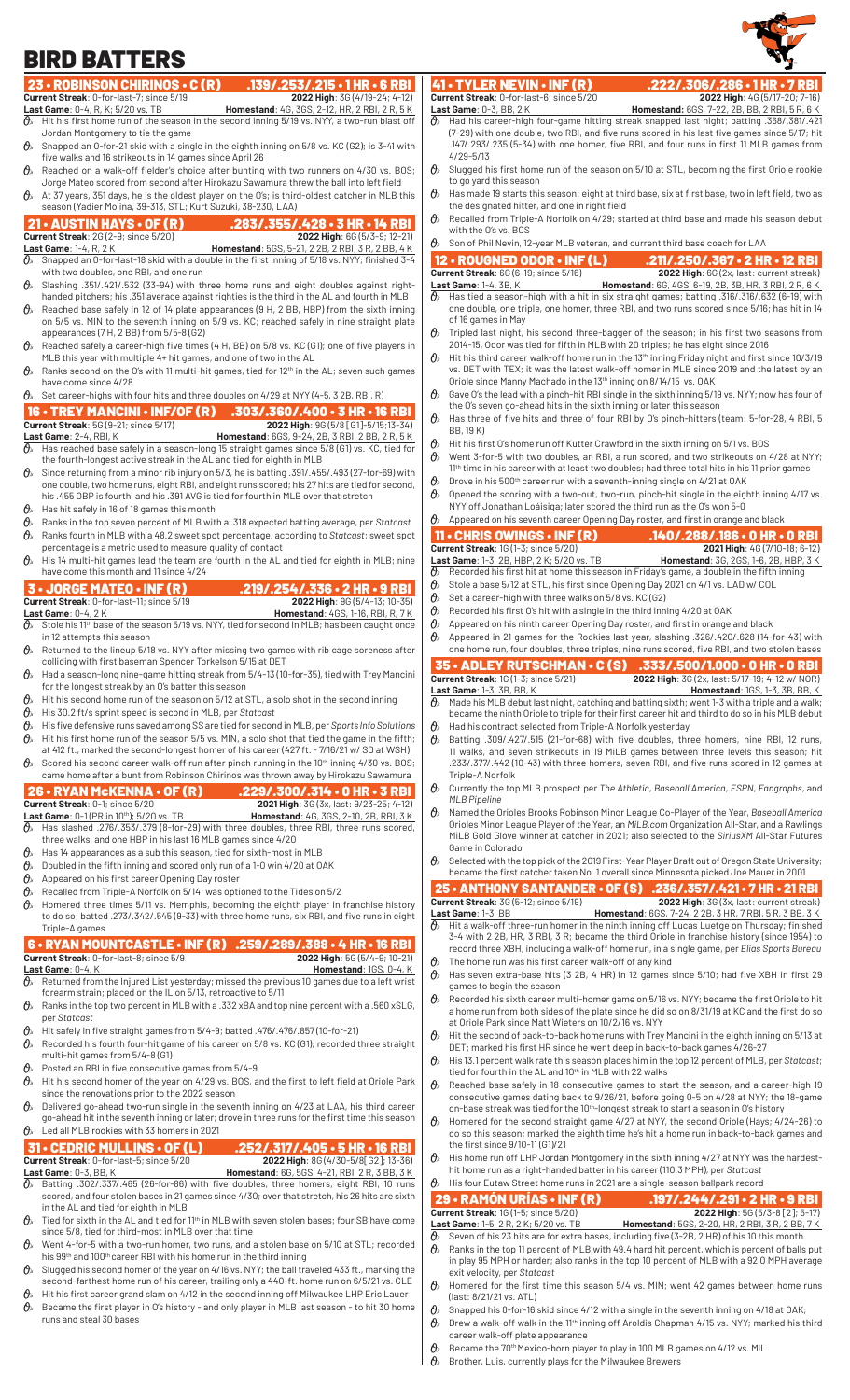

| <b>BIRD BATTERS</b>                                                                                                                                                             |                                                                                                                                                                                                                      |                                                                                                                                                                              |                                                                                                                                                                                                         |
|---------------------------------------------------------------------------------------------------------------------------------------------------------------------------------|----------------------------------------------------------------------------------------------------------------------------------------------------------------------------------------------------------------------|------------------------------------------------------------------------------------------------------------------------------------------------------------------------------|---------------------------------------------------------------------------------------------------------------------------------------------------------------------------------------------------------|
| 23 • ROBINSON CHIRINOS • C (R)                                                                                                                                                  | .139/.253/.215.1HR.6RBI                                                                                                                                                                                              | 41 • TYLER NEVIN • INF (R)                                                                                                                                                   | .222/.306/.286 · 1 HR · 7 RBI                                                                                                                                                                           |
| Current Streak: 0-for-last-7; since 5/19<br>Last Game: 0-4, R, K; 5/20 vs. TB                                                                                                   | 2022 High: 3G (4/19-24; 4-12)<br><b>Homestand:</b> 4G, 3GS, 2-12, HR, 2 RBI, 2 R, 5 K<br>$\mathcal{O}_k$ Hit his first home run of the season in the second inning 5/19 vs. NYY, a two-run blast off                 | Current Streak: 0-for-last-6; since 5/20<br>Last Game: 0-3, BB, 2 K                                                                                                          | 2022 High: 4G (5/17-20; 7-16)<br>Homestand: 6GS, 7-22, 2B, BB, 2RBI, 5R, 6K<br>$\alpha_s$ Had his career-high four-game hitting streak snapped last night; batting .368/.381/.421                       |
| Jordan Montgomery to tie the game                                                                                                                                               | $\mathcal{O}_k$ Snapped an 0-for-21 skid with a single in the eighth inning on 5/8 vs. KC (G2); is 3-41 with                                                                                                         |                                                                                                                                                                              | (7-29) with one double, two RBI, and five runs scored in his last five games since 5/17; hit<br>.147/.293/.235 (5-34) with one homer, five RBI, and four runs in first 11 MLB games from                |
| five walks and 16 strikeouts in 14 games since April 26                                                                                                                         | Reached on a walk-off fielder's choice after bunting with two runners on 4/30 vs. BOS;<br>Jorge Mateo scored from second after Hirokazu Sawamura threw the ball into left field                                      | $4/29 - 5/13$<br>to go yard this season                                                                                                                                      | $\theta_{\ell}$ Slugged his first home run of the season on 5/10 at STL, becoming the first Oriole rookie                                                                                               |
| season (Yadier Molina, 39-313, STL; Kurt Suzuki, 38-230, LAA)                                                                                                                   | $\mathcal{O}_{\ell}$ At 37 years, 351 days, he is the oldest player on the O's; is third-oldest catcher in MLB this                                                                                                  | $\theta_{s}$<br>the designated hitter, and one in right field                                                                                                                | Has made 19 starts this season: eight at third base, six at first base, two in left field, two as                                                                                                       |
| <b>21 • AUSTIN HAYS • OF (R)</b>                                                                                                                                                | .283/.355/.428 • 3 HR • 14 RBI                                                                                                                                                                                       | O≽<br>with the O's vs. BOS                                                                                                                                                   | Recalled from Triple-A Norfolk on 4/29; started at third base and made his season debut                                                                                                                 |
| <b>Current Streak: 2G (2-9; since 5/20)</b><br><b>Last Game: 1-4, R, 2 K</b>                                                                                                    | 2022 High: 6G (5/3-9; 12-21)<br>Homestand: 5GS, 5-21, 2 2B, 2 RBI, 3 R, 2 BB, 4 K                                                                                                                                    | Θ»<br>Son of Phil Nevin, 12-year MLB veteran, and current third base coach for LAA                                                                                           |                                                                                                                                                                                                         |
| with two doubles, one RBI, and one run                                                                                                                                          | $\mathcal{O}_k$ Snapped an 0-for-last-18 skid with a double in the first inning of 5/18 vs. NYY; finished 3-4                                                                                                        | 12 · ROUGNED ODOR · INF (L)<br><b>Current Streak: 6G (6-19; since 5/16)</b>                                                                                                  | .211/.250/.367 • 2 HR • 12 RBI<br>2022 High: 6G (2x, last: current streak)                                                                                                                              |
| $\theta_{s}$                                                                                                                                                                    | Slashing .351/.421/.532 (33-94) with three home runs and eight doubles against right-<br>handed pitchers; his .351 average against righties is the third in the AL and fourth in MLB                                 | Last Game: 1-4, 3B, K                                                                                                                                                        | Homestand: 6G, 4GS, 6-19, 2B, 3B, HR, 3 RBI, 2R, 6K<br>Has tied a season-high with a hit in six straight games; batting .316/.316/.632 (6-19) with                                                      |
| $\theta$                                                                                                                                                                        | Reached base safely in 12 of 14 plate appearances (9 H, 2 BB, HBP) from the sixth inning<br>on 5/5 vs. MIN to the seventh inning on 5/9 vs. KC; reached safely in nine straight plate                                | of 16 games in May                                                                                                                                                           | one double, one triple, one homer, three RBI, and two runs scored since 5/16; has hit in 14                                                                                                             |
| appearances (7 H, 2 BB) from 5/5-8 (G2)                                                                                                                                         | $\hat{\theta}_s$ Reached safely a career-high five times (4 H, BB) on 5/8 vs. KC (G1); one of five players in                                                                                                        | $\theta$<br>2014-15, Odor was tied for fifth in MLB with 20 triples; he has eight since 2016                                                                                 | Tripled last night, his second three-bagger of the season; in his first two seasons from                                                                                                                |
| MLB this year with multiple 4+ hit games, and one of two in the AL                                                                                                              | Ranks second on the O's with 11 multi-hit games, tied for 12 <sup>th</sup> in the AL; seven such games                                                                                                               |                                                                                                                                                                              | Hit his third career walk-off home run in the 13 <sup>th</sup> inning Friday night and first since 10/3/19<br>vs. DET with TEX; it was the latest walk-off homer in MLB since 2019 and the latest by an |
| have come since 4/28<br>$\mathcal{O}_k$ Set career-highs with four hits and three doubles on 4/29 at NYY (4-5, 3 2B, RBI, R)                                                    |                                                                                                                                                                                                                      | Oriole since Manny Machado in the 13th inning on 8/14/15 vs. OAK                                                                                                             | Gave O's the lead with a pinch-hit RBI single in the sixth inning 5/19 vs. NYY; now has four of                                                                                                         |
| 16 • TREY MANCINI • INF/OF (R)<br><b>Current Streak: 5G (9-21; since 5/17)</b>                                                                                                  | $.303/.360/.400 \cdot 3 HR \cdot 16 RBI$<br>2022 High: 9G (5/8 [G1]-5/15;13-34)                                                                                                                                      | the O's seven go-ahead hits in the sixth inning or later this season<br>$\theta_{s}$                                                                                         | Has three of five hits and three of four RBI by O's pinch-hitters (team: 5-for-28, 4 RBI, 5                                                                                                             |
| Last Game: 2-4, RBI, K                                                                                                                                                          | Homestand: 6GS, 9-24, 2B, 3 RBI, 2 BB, 2 R, 5 K                                                                                                                                                                      | BB, 19 K)                                                                                                                                                                    |                                                                                                                                                                                                         |
| the fourth-longest active streak in the AL and tied for eighth in MLB                                                                                                           | $\hat{\theta}_k$ Has reached base safely in a season-long 15 straight games since 5/8 (G1) vs. KC, tied for                                                                                                          | Hit his first O's home run off Kutter Crawford in the sixth inning on 5/1 vs. BOS<br>$\theta_{s}$                                                                            | Went 3-for-5 with two doubles, an RBI, a run scored, and two strikeouts on 4/28 at NYY;                                                                                                                 |
| his .455 OBP is fourth, and his .391 AVG is tied for fourth in MLB over that stretch                                                                                            | $\hat{\theta}_s$ Since returning from a minor rib injury on 5/3, he is batting .391/.455/.493 (27-for-69) with<br>one double, two home runs, eight RBI, and eight runs scored; his 27 hits are tied for second,      | Drove in his 500 <sup>th</sup> career run with a seventh-inning single on 4/21 at OAK<br>$\theta_{s}$                                                                        | 11 <sup>th</sup> time in his career with at least two doubles; had three total hits in his 11 prior games<br>Opened the scoring with a two-out, two-run, pinch-hit single in the eighth inning 4/17 vs. |
| $\theta$ Has hit safely in 16 of 18 games this month                                                                                                                            |                                                                                                                                                                                                                      | NYY off Jonathan Loáisiga; later scored the third run as the O's won 5-0<br>$\mathcal{O}_k$ Appeared on his seventh career Opening Day roster, and first in orange and black |                                                                                                                                                                                                         |
| $\theta_{s}$<br>$\theta_{s}$                                                                                                                                                    | Ranks in the top seven percent of MLB with a .318 expected batting average, per Statcast<br>Ranks fourth in MLB with a 48.2 sweet spot percentage, according to Statcast; sweet spot                                 | $11 \cdot$ CHRIS OWINGS $\cdot$ INF (R)                                                                                                                                      | .140/.288/.186 · 0 HR · 0 RBI                                                                                                                                                                           |
| percentage is a metric used to measure quality of contact                                                                                                                       | $\mathcal{O}_k$ His 14 multi-hit games lead the team are fourth in the AL and tied for eighth in MLB; nine                                                                                                           | Current Streak: 1G (1-3; since 5/20)<br>Last Game: 1-3, 2B, HBP, 2 K; 5/20 vs. TB                                                                                            | 2021 High: 4G (7/10-18; 6-12)<br><b>Homestand:</b> 3G, 2GS, 1-6, 2B, HBP, 3K                                                                                                                            |
| have come this month and 11 since 4/24<br><b>3 - JORGE MATEO - INF (R)</b>                                                                                                      | .219/.254/.336 • 2 HR • 9 RBI                                                                                                                                                                                        | θ.<br>0,<br>Stole a base 5/12 at STL, his first since Opening Day 2021 on 4/1 vs. LAD w/ COL                                                                                 | Recorded his first hit at home this season in Friday's game, a double in the fifth inning                                                                                                               |
| Current Streak: 0-for-last-11; since 5/19                                                                                                                                       | 2022 High: 9G (5/4-13; 10-35)                                                                                                                                                                                        | $\theta$<br>Set a career-high with three walks on 5/8 vs. KC (G2)                                                                                                            |                                                                                                                                                                                                         |
| Last Game: 0-4, 2 K<br>$\theta_{s}$                                                                                                                                             | Homestand: 4GS, 1-16, RBI, R, 7K<br>Stole his 11 <sup>th</sup> base of the season 5/19 vs. NYY, tied for second in MLB; has been caught once                                                                         | Recorded his first O's hit with a single in the third inning 4/20 at OAK<br>0,<br>0,<br>Appeared on his ninth career Opening Day roster, and first in orange and black       |                                                                                                                                                                                                         |
| in 12 attempts this season                                                                                                                                                      | $\partial$ Returned to the lineup 5/18 vs. NYY after missing two games with rib cage soreness after                                                                                                                  |                                                                                                                                                                              | Appeared in 21 games for the Rockies last year, slashing .326/.420/.628 (14-for-43) with<br>one home run, four doubles, three triples, nine runs scored, five RBI, and two stolen bases                 |
| colliding with first baseman Spencer Torkelson 5/15 at DET                                                                                                                      | $\mathcal{O}_k$ Had a season-long nine-game hitting streak from 5/4-13 (10-for-35), tied with Trey Mancini                                                                                                           | <b>35 • ADLEY RUTSCHMAN • C (S)</b>                                                                                                                                          | .333/.500/1.000 • 0 HR • 0 RBI                                                                                                                                                                          |
| for the longest streak by an O's batter this season                                                                                                                             |                                                                                                                                                                                                                      | <b>Current Streak: 1G (1-3; since 5/21)</b><br>Last Game: 1-3, 3B, BB, K                                                                                                     | 2022 High: 3G (2x, last: 5/17-19; 4-12 w/ NOR)<br><b>Homestand: 1GS, 1-3, 3B, BB, K</b>                                                                                                                 |
| Hit his second home run of the season on 5/12 at STL, a solo shot in the second inning<br>$\theta$<br>$\theta_{s}$<br>His 30.2 ft/s sprint speed is second in MLB, per Statcast |                                                                                                                                                                                                                      |                                                                                                                                                                              | Made his MLB debut last night, catching and batting sixth; went 1-3 with a triple and a walk;<br>became the ninth Oriole to triple for their first career hit and third to do so in his MLB debut       |
| 0,<br>θ»                                                                                                                                                                        | His five defensive runs saved among SS are tied for second in MLB, per Sports Info Solutions<br>Hit his first home run of the season 5/5 vs. MIN, a solo shot that tied the game in the fifth;                       | O»<br>Had his contract selected from Triple-A Norfolk yesterday<br>$\theta$                                                                                                  | Batting .309/.427/.515 (21-for-68) with five doubles, three homers, nine RBI, 12 runs,                                                                                                                  |
|                                                                                                                                                                                 | at 412 ft., marked the second-longest homer of his career (427 ft. - 7/16/21 w/ SD at WSH)<br>$\mathcal{O}_k$ Scored his second career walk-off run after pinch running in the 10 <sup>th</sup> inning 4/30 vs. BOS; |                                                                                                                                                                              | 11 walks, and seven strikeouts in 19 MiLB games between three levels this season; hit<br>.233/.377/.442 (10-43) with three homers, seven RBI, and five runs scored in 12 games at                       |
| 26 • RYAN McKENNA • OF (R)                                                                                                                                                      | came home after a bunt from Robinson Chirinos was thrown away by Hirokazu Sawamura<br>.229/.300/.314 • 0 HR • 3 RBI                                                                                                  | Triple-A Norfolk                                                                                                                                                             | Currently the top MLB prospect per The Athletic, Baseball America, ESPN, Fangraphs, and                                                                                                                 |
| Current Streak: 0-1: since 5/20                                                                                                                                                 | 2021 High: 3G (3x, last: 9/23-25; 4-12)                                                                                                                                                                              | <b>MLB Pipeline</b>                                                                                                                                                          | Named the Orioles Brooks Robinson Minor League Co-Player of the Year, Baseball America                                                                                                                  |
| Last Game: 0-1 (PR in 10th); 5/20 vs. TB<br>three walks, and one HBP in his last 16 MLB games since 4/20                                                                        | <b>Homestand:</b> 4G, 3GS, 2-10, 2B, RBI, 3K<br>$\mathcal{O}_k$ Has slashed .276/.353/.379 (8-for-29) with three doubles, three RBI, three runs scored,                                                              |                                                                                                                                                                              | Orioles Minor League Player of the Year, an MiLB.com Organization All-Star, and a Rawlings<br>MiLB Gold Glove winner at catcher in 2021; also selected to the SiriusXM All-Star Futures                 |
| $\mathcal{O}_k$ Has 14 appearances as a sub this season, tied for sixth-most in MLB<br>Doubled in the fifth inning and scored only run of a 1-0 win 4/20 at OAK<br>Os           |                                                                                                                                                                                                                      | Game in Colorado<br>θ≽                                                                                                                                                       | Selected with the top pick of the 2019 First-Year Player Draft out of Oregon State University;                                                                                                          |
| $\theta$ s<br>Appeared on his first career Opening Day roster<br>0,<br>Recalled from Triple-A Norfolk on 5/14; was optioned to the Tides on 5/2                                 |                                                                                                                                                                                                                      |                                                                                                                                                                              | became the first catcher taken No. 1 overall since Minnesota picked Joe Mauer in 2001<br>25 • ANTHONY SANTANDER • OF (S) .236/.357/.421 • 7 HR • 21 RBI                                                 |
| $\theta_{s}$                                                                                                                                                                    | Homered three times 5/11 vs. Memphis, becoming the eighth player in franchise history                                                                                                                                | <b>Current Streak: 3G (5-12; since 5/19)</b><br>Last Game: 1-3, BB                                                                                                           | 2022 High: 3G (3x, last: current streak)<br><b>Homestand:</b> 6GS, 7-24, 2 2B, 3 HR, 7 RBI, 5 R, 3 BB, 3 K                                                                                              |
| Triple-A games                                                                                                                                                                  | to do so; batted .273/.342/.545 (9-33) with three home runs, six RBI, and five runs in eight                                                                                                                         | $\theta_{\rm k}$                                                                                                                                                             | Hit a walk-off three-run homer in the ninth inning off Lucas Luetge on Thursday; finished                                                                                                               |
|                                                                                                                                                                                 | 6 . RYAN MOUNTCASTLE . INF (R) .259/.289/.388 . 4 HR . 16 RBI                                                                                                                                                        |                                                                                                                                                                              | 3-4 with 2 2B, HR, 3 RBI, 3 R; became the third Oriole in franchise history (since 1954) to<br>record three XBH, including a walk-off home run, in a single game, per Elias Sports Bureau               |
| Current Streak: 0-for-last-8; since 5/9<br>Last Game: $0-4$ , $K$                                                                                                               | 2022 High: 5G (5/4-9; 10-21)<br>Homestand: 1GS, 0-4, K                                                                                                                                                               | $\theta$<br>The home run was his first career walk-off of any kind<br>0,                                                                                                     | Has seven extra-base hits (3 2B, 4 HR) in 12 games since 5/10; had five XBH in first 29                                                                                                                 |
| forearm strain; placed on the IL on 5/13, retroactive to 5/11                                                                                                                   | $\partial$ » Returned from the Injured List yesterday; missed the previous 10 games due to a left wrist                                                                                                              | games to begin the season<br>Ο.                                                                                                                                              | Recorded his sixth career multi-homer game on 5/16 vs. NYY; became the first Oriole to hit                                                                                                              |
| per Statcast                                                                                                                                                                    | $\mathcal{O}_k$ Ranks in the top two percent in MLB with a .332 xBA and top nine percent with a .560 xSLG,                                                                                                           | at Oriole Park since Matt Wieters on 10/2/16 vs. NYY                                                                                                                         | a home run from both sides of the plate since he did so on 8/31/19 at KC and the first do so                                                                                                            |
| $\theta$ Hit safely in five straight games from 5/4-9; batted .476/.476/.857 (10-for-21)                                                                                        | Recorded his fourth four-hit game of his career on 5/8 vs. KC (G1); recorded three straight                                                                                                                          | DET; marked his first HR since he went deep in back-to-back games 4/26-27                                                                                                    | Hit the second of back-to-back home runs with Trey Mancini in the eighth inning on 5/13 at                                                                                                              |
| multi-hit games from 5/4-8(G1)<br>Posted an RBI in five consecutive games from 5/4-9<br>Ο»                                                                                      |                                                                                                                                                                                                                      | θ≽<br>tied for fourth in the AL and 10th in MLB with 22 walks                                                                                                                | His 13.1 percent walk rate this season places him in the top 12 percent of MLB, per Statcast;                                                                                                           |
| Ο»<br>since the renovations prior to the 2022 season                                                                                                                            | Hit his second homer of the year on 4/29 vs. BOS, and the first to left field at Oriole Park                                                                                                                         |                                                                                                                                                                              | Reached base safely in 18 consecutive games to start the season, and a career-high 19<br>consecutive games dating back to 9/26/21, before going 0-5 on 4/28 at NYY; the 18-game                         |
| $\theta$ Led all MLB rookies with 33 homers in 2021                                                                                                                             | $\mathcal{O}_k$ Delivered go-ahead two-run single in the seventh inning on 4/23 at LAA, his third career<br>go-ahead hit in the seventh inning or later; drove in three runs for the first time this season          | on-base streak was tied for the 10 <sup>th</sup> -longest streak to start a season in O's history                                                                            | Homered for the second straight game 4/27 at NYY, the second Oriole (Hays; 4/24-26) to                                                                                                                  |
| 31 - CEDRIC MULLINS - OF (L)                                                                                                                                                    | .252/.317/.405 • 5 HR • 16 RBI                                                                                                                                                                                       | the first since 9/10-11(G1)/21                                                                                                                                               | do so this season; marked the eighth time he's hit a home run in back-to-back games and                                                                                                                 |
| Current Streak: 0-for-last-5; since 5/20<br>Last Game: 0-3, BB, K                                                                                                               | 2022 High: 8G (4/30-5/8 G2]; 13-36)<br>Homestand: 6G, 5GS, 4-21, RBI, 2R, 3BB, 3K                                                                                                                                    | $\theta$<br>hit home run as a right-handed batter in his career (110.3 MPH), per Statcast                                                                                    | His home run off LHP Jordan Montgomery in the sixth inning 4/27 at NYY was the hardest-                                                                                                                 |
| $\theta_{s}$                                                                                                                                                                    | Batting .302/.337/.465 (26-for-86) with five doubles, three homers, eight RBI, 10 runs<br>scored, and four stolen bases in 21 games since 4/30; over that stretch, his 26 hits are sixth                             | $\mathcal{O}_k$ His four Eutaw Street home runs in 2021 are a single-season ballpark record<br>29 - RAMÓN URÍAS - INF (R)                                                    | .197/.244/.291 • 2 HR • 9 RBI                                                                                                                                                                           |
| in the AL and tied for eighth in MLB                                                                                                                                            | $\mathcal{O}_k$ Tied for sixth in the AL and tied for 11 <sup>th</sup> in MLB with seven stolen bases; four SB have come                                                                                             | <b>Current Streak: 1G (1-5; since 5/20)</b>                                                                                                                                  | 2022 High: 5G (5/3-8 [2]; 5-17)                                                                                                                                                                         |
|                                                                                                                                                                                 |                                                                                                                                                                                                                      | Last Game: 1-5, 2 R, 2 K; 5/20 vs. TB                                                                                                                                        | Homestand: 5GS, 2-20, HR, 2 RBI, 3 R, 2 BB, 7 K                                                                                                                                                         |

- $\vartheta_{\!s}\!$  Tied for sixth in the AL and tied for 11th in MLB with seven stolen bases; four SB have come since 5/8, tied for third-most in MLB over that time
- $\theta$  Went 4-for-5 with a two-run homer, two runs, and a stolen base on 5/10 at STL; recorded his 99<sup>th</sup> and 100<sup>th</sup> career RBI with his home run in the third inning
- $\theta$  Slugged his second homer of the year on 4/16 vs. NYY; the ball traveled 433 ft., marking the
- second-farthest home run of his career, trailing only a 440-ft. home run on 6/5/21 vs. CLE
- $\vartheta$   $\!\!\hat{}$  Hit his first career grand slam on 4/12 in the second inning off Milwaukee LHP Eric Lauer  $\theta$  Became the first player in O's history - and only player in MLB last season - to hit 30 home
	- runs and steal 30 bases
- exit velocity, per *Statcast*  $\partial\!\!\!/_s\!\!$  Homered for the first time this season 5/4 vs. MIN; went 42 games between home runs (last: 8/21/21 vs. ATL)

 $\vartheta$   $\,$  Seven of his 23 hits are for extra bases, including five (3-2B, 2 HR) of his 10 this month  $\vartheta$  Ranks in the top 11 percent of MLB with 49.4 hard hit percent, which is percent of balls put in play 95 MPH or harder; also ranks in the top 10 percent of MLB with a 92.0 MPH average

- $\vartheta_{\rm s}$  Snapped his 0-for-16 skid since 4/12 with a single in the seventh inning on 4/18 at OAK;  $\mathcal{O}_n$  Drew a walk-off walk in the 11<sup>th</sup> inning off Aroldis Chapman 4/15 vs. NYY; marked his third career walk-off plate appearance
- $\theta$ <sup>s</sup> Became the 70<sup>th</sup> Mexico-born player to play in 100 MLB games on 4/12 vs. MIL
- $\theta$ <sup>\*</sup> Brother, Luis, currently plays for the Milwaukee Brewers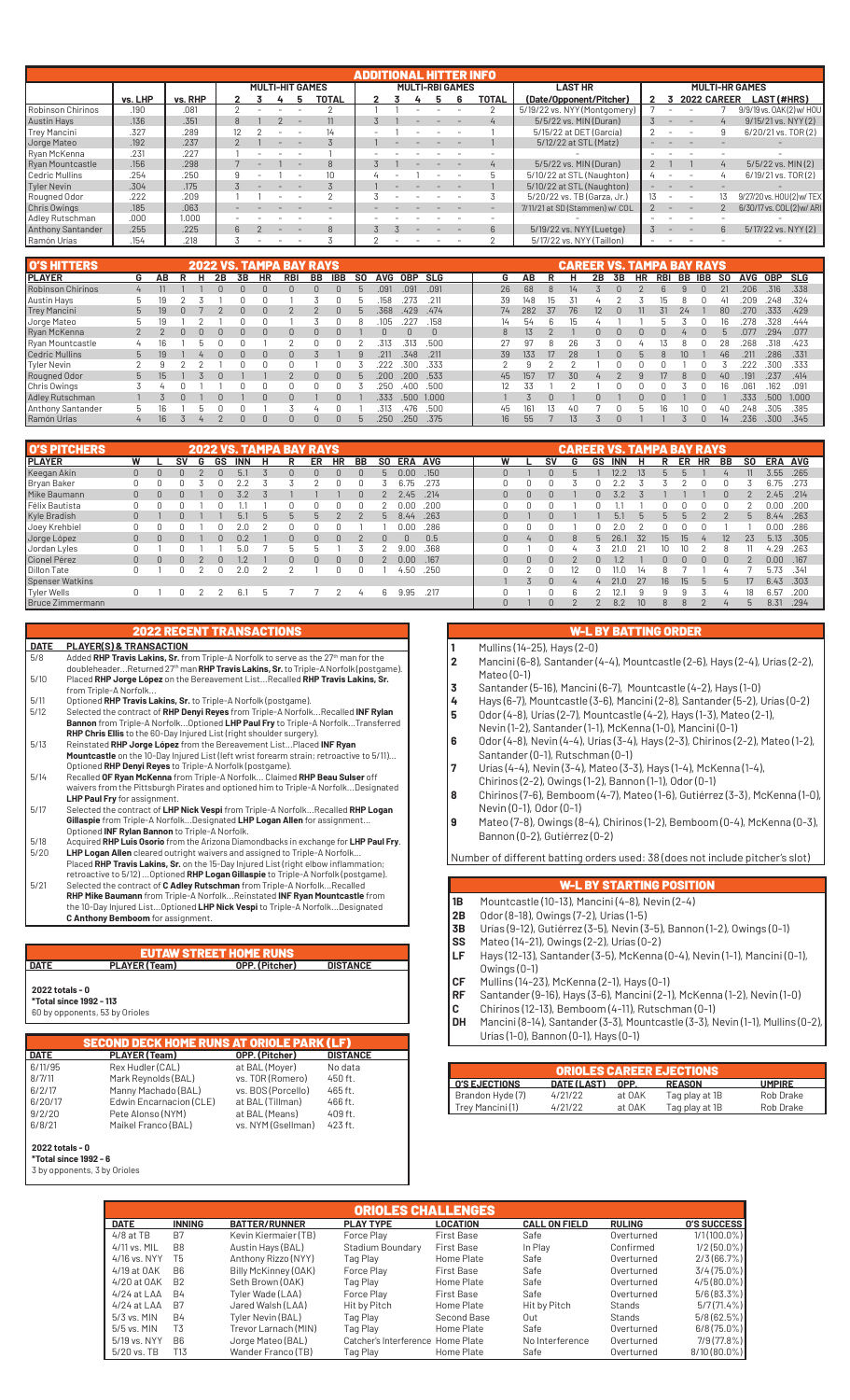|                     |         |         |  | <b>MULTI-HIT GAMES</b> |  |  |               |  |  |  |  | <b>MULTI-RBI GAMES</b> |             | <b>LAST HR</b>                 |  |                    |             | <b>MULTI-HR GAMES</b>     |
|---------------------|---------|---------|--|------------------------|--|--|---------------|--|--|--|--|------------------------|-------------|--------------------------------|--|--------------------|-------------|---------------------------|
|                     | vs. LHP | vs. RHP |  |                        |  |  | TOTAL         |  |  |  |  |                        | TOTAL       | (Date/Opponent/Pitcher)        |  | <b>2022 CAREER</b> |             | LAST (#HRS)               |
| Robinson Chirinos   | .190    | .081    |  |                        |  |  |               |  |  |  |  |                        |             | 5/19/22 vs. NYY (Montgomery)   |  |                    |             | 9/9/19 vs. 0AK(2) w/ HOU  |
| <b>Austin Hays</b>  | .136    | .351    |  |                        |  |  |               |  |  |  |  |                        |             | 5/5/22 vs. MIN (Duran)         |  |                    |             | 9/15/21 vs. NYY (2)       |
| Trey Mancini        | .327    | .289    |  |                        |  |  |               |  |  |  |  |                        |             | 5/15/22 at DET (García)        |  |                    |             | 6/20/21 vs. TOR(2)        |
| Jorge Mateo         | .192    | .237    |  |                        |  |  |               |  |  |  |  |                        |             | 5/12/22 at STL (Matz)          |  |                    |             |                           |
| Ryan McKenna        | .231    | .227    |  |                        |  |  |               |  |  |  |  |                        |             |                                |  |                    |             |                           |
| Ryan Mountcastle    | .156    | .298    |  |                        |  |  | $\mathcal{B}$ |  |  |  |  |                        | 4           | 5/5/22 vs. MIN (Duran)         |  |                    |             | 5/5/22 vs. MIN(2)         |
| Cedric Mullins      | .254    | .250    |  |                        |  |  |               |  |  |  |  |                        |             | 5/10/22 at STL (Naughton)      |  |                    |             | 6/19/21 vs. TOR(2)        |
| Tyler Nevin         | .304    | .175    |  |                        |  |  |               |  |  |  |  |                        |             | 5/10/22 at STL (Naughton)      |  |                    |             |                           |
| Rougned Odor        | .222    | .209    |  |                        |  |  |               |  |  |  |  |                        |             | 5/20/22 vs. TB (Garza, Jr.)    |  |                    |             | 9/27/20 vs. HOU(2) w/ TEX |
| <b>Chris Owings</b> | .185    | .063    |  |                        |  |  |               |  |  |  |  |                        |             | 7/11/21 at SD (Stammen) w/ COL |  |                    |             | 6/30/17 vs. COL(2) w/ ARI |
| Adley Rutschman     | .000    | 1.000   |  |                        |  |  |               |  |  |  |  |                        |             |                                |  |                    |             |                           |
| Anthony Santander   | .255    | .225    |  |                        |  |  | $\mathcal{B}$ |  |  |  |  |                        | $6^{\circ}$ | 5/19/22 vs. NYY (Luetge)       |  |                    | $6^{\circ}$ | 5/17/22 vs. NYY (2)       |
| Ramón Urías         | .154    | .218    |  |                        |  |  |               |  |  |  |  |                        |             | 5/17/22 vs. NYY (Taillon)      |  |                    |             |                           |

| <b>O'S HITTERS</b>     |                |    |   |    |    |           | 2022 VS. TAMPA BAY RAYS |    |            |              |            |      |        |                 |     |    | <b>CAREER VS. TAMPA BAY RAYS</b> |    |    |           |     |        |     |      |      |       |
|------------------------|----------------|----|---|----|----|-----------|-------------------------|----|------------|--------------|------------|------|--------|-----------------|-----|----|----------------------------------|----|----|-----------|-----|--------|-----|------|------|-------|
| <b>PLAYER</b>          | G              | ΑВ |   | 2Β | 3В | <b>HR</b> | <b>RBI</b>              | BB | <b>IBB</b> | S0           | <b>AVG</b> | 0BP  | SLG    | G               | AΒ  |    | н                                | 2B | 3B | <b>HR</b> | RBI | BB IBB | SO. | AVG  | 0BP  | SLG   |
| Robinson Chirinos      | $\overline{4}$ |    |   |    |    |           |                         |    |            |              | .091       | .091 | .091   | 26              | 68  |    |                                  |    |    |           |     |        | 21  | 206  | .316 | .338  |
| Austin Hays            |                |    |   |    |    |           |                         |    |            |              | 158        |      | .211   | 39              | 148 | lb |                                  |    |    |           |     |        |     | .209 | 248  | .324  |
| <b>Trey Mancini</b>    | 5              |    |   |    |    |           |                         |    |            |              | .368       | .429 | .474   | 74              | 282 | 37 | 76                               |    |    |           | 31  | 24     | 80  | 270  | 333  | .429  |
| Jorge Mateo            |                |    |   |    |    |           |                         |    |            |              | 105        |      | .158   | 14              | 54  |    |                                  |    |    |           |     |        | 16  | 278  | 328  | .444  |
| Ryan McKenna           |                |    |   |    |    | $\Omega$  |                         | U  |            |              |            |      | $\cap$ | 8               |     |    |                                  |    |    |           |     |        | h   | .077 | 294  | .077  |
| Ryan Mountcastle       |                |    | ь |    |    |           |                         |    |            |              | .313       | .313 | .500   | 27              | 97  |    | 26                               |    |    |           |     |        |     | 268  | 318  | .423  |
| <b>Cedric Mullins</b>  | 5              |    |   |    |    | U         |                         |    |            | q            | .211       | .348 | .211   | 39              | 133 | 17 | 28                               |    |    |           |     | $10 -$ | 46  | .211 | 286  | .331  |
| Tyler Nevin            |                |    |   |    |    |           |                         |    |            |              |            | 300  | .333   |                 | o   |    |                                  |    |    |           |     |        |     |      | 300  | .333  |
| Rougned Odor           | 5              |    |   |    |    |           |                         | U  | $\Omega$   | $\mathbf{h}$ | .200       | .200 | .533   | 45              | 157 | 17 | 30                               |    |    |           |     |        | 40  | 191  | .237 | .414  |
| Chris Owings           |                |    |   |    |    |           |                         |    |            |              | 250        | 400  | .500   | $12^{\circ}$    | 33  |    |                                  |    |    |           |     |        | 16  | 061  | 162  | .091  |
| <b>Adley Rutschman</b> |                |    |   |    |    | 0         |                         |    |            |              | .333       | .500 | 1.000  |                 |     |    |                                  |    |    |           |     |        |     | .333 | .500 | 1.000 |
| Anthony Santander      |                |    | ь |    |    |           |                         |    |            |              | .313       | 476  | .500   | 45              | 161 | 13 | 4Π                               |    |    |           |     |        | 41  | 248  | 305  | .385  |
| Ramón Urías            |                | 16 |   |    |    |           |                         |    |            |              | .250       | .250 | .375   | 16 <sup>1</sup> | 55  |    | 13                               |    |    |           |     |        | 14  | .236 | .300 | .345  |

| <b>O'S PITCHERS</b> |              |    |   |    |            |   | <b>2022 VS. TAMPA BAY RAYS</b> |          |           |          |              |                |      |   |                |              |          |              | CAREER VS. TAMPA BAY RAYS |    |              |     |        |        |                |         |      |
|---------------------|--------------|----|---|----|------------|---|--------------------------------|----------|-----------|----------|--------------|----------------|------|---|----------------|--------------|----------|--------------|---------------------------|----|--------------|-----|--------|--------|----------------|---------|------|
| <b>PLAYER</b>       | W            | SV | G | GS | <b>INN</b> | н | R                              | ER       | <b>HR</b> | BB       | SO.          | <b>ERA AVG</b> |      | W |                | S٧           | G        | GS           | INN                       | н  | R            | ER  | HR     | BB     | SO.            | ERA AVG |      |
| Keegan Akin         | $\mathbf{0}$ |    |   |    | 5.         |   |                                | $\Omega$ | $\Omega$  |          | $\mathbf{h}$ | 0.00           | .150 |   |                | $\Omega$     | 5        |              | 12.2                      |    | 5            |     |        |        |                | 3.55    | .265 |
| Bryan Baker         | 0            |    |   |    |            |   |                                |          |           |          |              | 75             | .273 |   |                |              |          |              |                           |    |              |     |        |        |                | 6.75    | .273 |
| Mike Baumann        | $\mathbf{0}$ |    |   | U  | 3.2        |   |                                |          |           |          |              | 2.45           | .214 |   | $\Omega$       |              |          |              | 3.2                       |    |              |     |        | 0      |                | 2.45    | .214 |
| Félix Bautista      | $\Omega$     |    |   |    |            |   |                                | 0        |           |          |              | 0.00           | .200 |   |                |              |          |              |                           |    |              |     |        |        |                | 0.00    | .200 |
| Kyle Bradish        | $\mathbf{0}$ |    |   |    | 5.1        |   | b                              |          |           |          | b            | 8.44           | .263 |   |                |              |          |              | 5.                        |    | $\mathbf{b}$ |     |        |        | $\mathfrak b$  | 8.44    | .263 |
| Joey Krehbiel       | $\Omega$     |    |   |    | 2.0        |   |                                |          |           |          |              | 0.00           | .286 |   |                |              |          |              |                           |    |              |     |        |        |                | 0.00    | .286 |
| Jorge López         | $\mathbf{0}$ |    |   | 0  | 0.2        |   | 0                              | $\Omega$ | $\cap$    |          | $\Omega$     | $\cap$         | 0.5  |   | $\overline{4}$ | $\Omega$     | 8        |              | 26.                       | 32 | 15.          | 15  |        |        | 23             | 5.13    | .305 |
| Jordan Lyles        | 0            |    |   |    | 5.0        |   |                                |          |           |          |              | 9.00           | .368 |   |                |              |          |              |                           |    |              |     |        | 8      |                | 4.29    | .263 |
| Cionel Pérez        | $\Omega$     |    |   |    | 1.2        |   | n.                             | n.       | $\cap$    | $\Omega$ |              | 0.00           | .167 |   | <sup>n</sup>   | $\cap$       |          | $\mathbf{u}$ |                           |    | N            |     | $\Box$ | $\cap$ |                | 0.00    | .167 |
| <b>Dillon Tate</b>  | 0            |    |   |    | 2.0        | 0 |                                |          |           |          |              | 4.50           | .250 |   |                |              |          |              |                           |    |              |     |        |        |                | 5.73    | .341 |
| Spenser Watkins     |              |    |   |    |            |   |                                |          |           |          |              |                |      |   |                | <sup>n</sup> |          |              | 21.0                      |    | 16           | 15. |        |        | 17             | 6.43    | .303 |
| Tyler Wells         | $\Omega$     |    |   |    | 6.1        | h |                                |          |           | 4        | 6            | 9.95           | .217 |   |                |              | ĥ        |              | 12                        |    |              |     |        | $\mu$  | 18             | 6.57    | .200 |
| Bruce Zimmermann    |              |    |   |    |            |   |                                |          |           |          |              |                |      |   |                | $\Omega$     | $\Omega$ |              | 8.2                       |    | 8            |     |        | 4      | $\mathfrak{b}$ | 8.31    | .294 |

### 2022 RECENT TRANSACTIONS

- **DATE PLAYER(S) & TRANSACTION**<br>5/8 Added **RHP Travis Lakins, Sr.** free 5/8 Added **RHP Travis Lakins, Sr.** from Triple-A Norfolk to serve as the 27th man for the doubleheader...Returned 27th man **RHP Travis Lakins, Sr.** to Triple-A Norfolk (postgame). 5/10 Placed **RHP Jorge López** on the Bereavement List...Recalled **RHP Travis Lakins, Sr.**  from Triple-A Norfolk... 5/11 Optioned **RHP Travis Lakins, Sr.** to Triple-A Norfolk (postgame).
- 5/12 Selected the contract of **RHP Denyi Reyes** from Triple-A Norfolk...Recalled **INF Rylan Bannon** from Triple-A Norfolk...Optioned **LHP Paul Fry** to Triple-A Norfolk...Transferred
- **RHP Chris Ellis** to the 60-Day Injured List (right shoulder surgery).<br>5/13 Reinstated **RHP Jorge Lónez** from the Bereavement List Placed 5/13 Reinstated RHP Jorge López from the Bereavement List...Placed INF Ryan<br>Mountcastle on the 10-Day Injured List (left wrist forearm strain; retroactive to 5/11)...<br>Optioned RHP Denyi Reyes to Triple-A Norfolk (postgame)
- waivers from the Pittsburgh Pirates and optioned him to Triple-A Norfolk...Designated
- **LHP Paul Fry** for assignment. 5/17 Selected the contract of **LHP Nick Vespi** from Triple-A Norfolk...Recalled **RHP Logan Gillaspie** from Triple-A Norfolk...Designated **LHP Logan Allen** for assignment... Optioned **INF Rylan Bannon** to Triple-A Norfolk.
- 5/18 Acquired **RHP Luis Osorio** from the Arizona Diamondbacks in exchange for **LHP Paul Fry**. 5/20 **LHP Logan Allen** cleared outright waivers and assigned to Triple-A Norfolk... Placed **RHP Travis Lakins, Sr.** on the 15-Day Injured List (right elbow inflammation;
- retroactive to 5/12)...Optioned **RHP Logan Gillaspie** to Triple-A Norfolk (postgame).<br>Selected the contract of **C Adley Rutschman** from Triple-A Norfolk...Recalled<br>**RHP Miee Baumann** from Triple-A Norfolk...Reinstated INF **C Anthony Bemboom** for assignment.

## EUTAW STREET HOME RUNS

## **DATE PLAYER (Team) OPP. (Pitcher) DISTANCE 2022 totals - 0**

**\*Total since 1992 - 113** 60 by opponents, 53 by Orioles

#### SECOND DECK HOME RUNS AT ORIOLE PARK (LF)<br>PLAYER (Team) **Dep. (Pitcher) DATE PLAYER (Team)**

| 6/11/95 | Rex Hudler (CAL)        | at BAL (Moyer)     | No data |  |
|---------|-------------------------|--------------------|---------|--|
| 8/7/11  | Mark Reynolds (BAL)     | vs. TOR (Romero)   | 450 ft. |  |
| 6/2/17  | Manny Machado (BAL)     | vs. BOS (Porcello) | 465 ft. |  |
| 6/20/17 | Edwin Encarnacion (CLE) | at BAL (Tillman)   | 466 ft. |  |
| 9/2/20  | Pete Alonso (NYM)       | at BAL (Means)     | 409 ft. |  |
| 6/8/21  | Maikel Franco (BAL)     | vs. NYM (Gsellman) | 423 ft. |  |
|         |                         |                    |         |  |

#### **2022 totals - 0 \*Total since 1992 - 6**

3 by opponents, 3 by Orioles

## W-L BY BATTING ORDER

- **1** Mullins (14-25), Hays (2-0)
- **2** Mancini (6-8), Santander (4-4), Mountcastle (2-6), Hays (2-4), Urías (2-2), Mateo (0-1)
- **3** Santander (5-16), Mancini (6-7), Mountcastle (4-2), Hays (1-0)
- **4** Hays (6-7), Mountcastle (3-6), Mancini (2-8), Santander (5-2), Urías (0-2)
- **5** Odor (4-8), Urías (2-7), Mountcastle (4-2), Hays (1-3), Mateo (2-1), Nevin (1-2), Santander (1-1), McKenna (1-0), Mancini (0-1)
- **6** Odor (4-8), Nevin (4-4), Urías (3-4), Hays (2-3), Chirinos (2-2), Mateo (1-2), Santander (0-1), Rutschman (0-1)
- **7** Urías (4-4), Nevin (3-4), Mateo (3-3), Hays (1-4), McKenna (1-4),
- Chirinos (2-2), Owings (1-2), Bannon (1-1), Odor (0-1)
- **8** Chirinos (7-6), Bemboom (4-7), Mateo (1-6), Gutiérrez (3-3), McKenna (1-0), Nevin (0-1), Odor (0-1)
- **9** Mateo (7-8), Owings (8-4), Chirinos (1-2), Bemboom (0-4), McKenna (0-3), Bannon (0-2), Gutiérrez (0-2)

Number of different batting orders used: 38 (does not include pitcher's slot)

### **L BY STARTING POSITION**

- **1B** Mountcastle (10-13), Mancini (4-8), Nevin (2-4)
- **2B** Odor (8-18), Owings (7-2), Urías (1-5)<br>**3B** Urías (9-12), Gutiérrez (3-5), Nevin (3
- **3B** Urías (9-12), Gutiérrez (3-5), Nevin (3-5), Bannon (1-2), Owings (0-1)<br>**SS** Mateo (14-21), Owings (2-2), Urías (0-2)
- **SS** Mateo (14-21), Owings (2-2), Urías (0-2)
- **LF** Hays (12-13), Santander (3-5), McKenna (0-4), Nevin (1-1), Mancini (0-1), Owings (0-1)
- **CF** Mullins (14-23), McKenna (2-1), Hays (0-1)
- **RF** Santander (9-16), Hays (3-6), Mancini (2-1), McKenna (1-2), Nevin (1-0)
- **C** Chirinos (12-13), Bemboom (4-11), Rutschman (0-1)<br>**DH** Mancini (8-14), Santander (3-3), Mountcastle (3-3), N **DH** Mancini (8-14), Santander (3-3), Mountcastle (3-3), Nevin (1-1), Mullins (0-2),
- Urías (1-0), Bannon (0-1), Hays (0-1)

| <b>ORIOLES CAREER EJECTIONS</b><br><b>I O'S EJECTIONS</b> |        |                |               |  |  |  |  |  |  |  |  |  |
|-----------------------------------------------------------|--------|----------------|---------------|--|--|--|--|--|--|--|--|--|
| DATE (LAST)                                               | OPP.   | <b>REASON</b>  | <b>UMPIRE</b> |  |  |  |  |  |  |  |  |  |
| 4/21/22                                                   | at OAK | Tag play at 1B | Rob Drake     |  |  |  |  |  |  |  |  |  |
| 4/21/22                                                   | at OAK | Tag play at 1B | Rob Drake     |  |  |  |  |  |  |  |  |  |
|                                                           |        |                |               |  |  |  |  |  |  |  |  |  |

| <b>ORIOLES CHALLENGES</b> |                |                      |                                   |                   |                      |               |                    |  |  |  |  |  |
|---------------------------|----------------|----------------------|-----------------------------------|-------------------|----------------------|---------------|--------------------|--|--|--|--|--|
| <b>DATE</b>               | <b>INNING</b>  | <b>BATTER/RUNNER</b> | <b>PLAY TYPE</b>                  | LOCATION          | <b>CALL ON FIELD</b> | <b>RULING</b> | <b>O'S SUCCESS</b> |  |  |  |  |  |
| $4/8$ at TB               | B <sub>7</sub> | Kevin Kiermaier (TB) | Force Play                        | First Base        | Safe                 | Overturned    | $1/1(100.0\%)$     |  |  |  |  |  |
| 4/11 vs. MIL              | B8             | Austin Hays (BAL)    | Stadium Boundary                  | <b>First Base</b> | In Play              | Confirmed     | $1/2(50.0\%)$      |  |  |  |  |  |
| 4/16 vs. NYY              | T5             | Anthony Rizzo (NYY)  | Tag Play                          | Home Plate        | Safe                 | Overturned    | 2/3(66.7%)         |  |  |  |  |  |
| 4/19 at OAK               | B <sub>6</sub> | Billy McKinney (OAK) | Force Play                        | First Base        | Safe                 | Overturned    | $3/4(75.0\%)$      |  |  |  |  |  |
| 4/20 at OAK               | <b>B2</b>      | Seth Brown (OAK)     | Tag Play                          | Home Plate        | Safe                 | Overturned    | $4/5(80.0\%)$      |  |  |  |  |  |
| $4/24$ at LAA             | <b>B4</b>      | Tyler Wade (LAA)     | Force Play                        | <b>First Base</b> | Safe                 | Overturned    | $5/6(83.3\%)$      |  |  |  |  |  |
| $4/24$ at LAA             | B7             | Jared Walsh (LAA)    | Hit by Pitch                      | Home Plate        | Hit by Pitch         | Stands        | 5/7(71.4%          |  |  |  |  |  |
| 5/3 vs. MIN               | <b>B4</b>      | Tyler Nevin (BAL)    | Tag Play                          | Second Base       | Out                  | Stands        | $5/8(62.5\%)$      |  |  |  |  |  |
| $5/5$ vs. MIN             | T <sub>3</sub> | Trevor Larnach (MIN) | Tag Play                          | Home Plate        | Safe                 | Overturned    | $6/8(75.0\%)$      |  |  |  |  |  |
| 5/19 vs. NYY              | B <sub>6</sub> | Jorge Mateo (BAL)    | Catcher's Interference Home Plate |                   | No Interference      | Overturned    | 7/9 (77.8%)        |  |  |  |  |  |
| 5/20 vs. TB               | T13            | Wander Franco (TB)   | Tag Plav                          | Home Plate        | Safe                 | Overturned    | 8/10 (80.0%)       |  |  |  |  |  |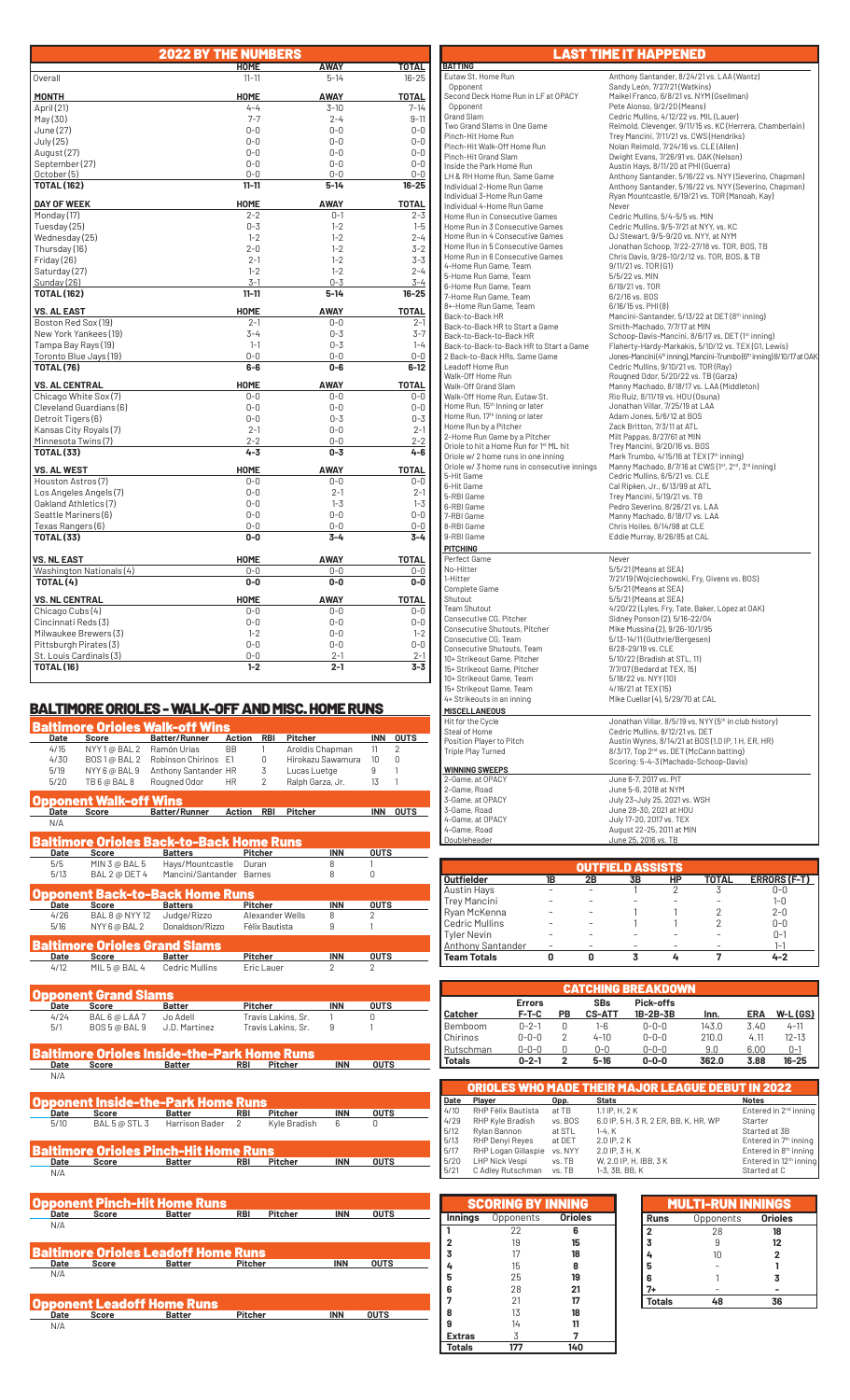|                                                 | <b>2022 BY THE NUMBERS</b> |                    |                    |
|-------------------------------------------------|----------------------------|--------------------|--------------------|
|                                                 | <b>HOME</b>                | AWAY               | TOTAL              |
| Overall                                         | $11 - 11$                  | $5 - 14$           | $16 - 25$          |
| <b>MONTH</b>                                    | <b>HOME</b>                | <b>AWAY</b>        | <b>TOTAL</b>       |
| April (21)                                      | $4 - 4$                    | $3 - 10$           | $7 - 14$           |
| May(30)                                         | $7 - 7$                    | $2 - 4$            | $9 - 11$           |
| June (27)                                       | $0-0$                      | $0 - 0$            | $0 - 0$            |
| July (25)                                       | $0 - 0$                    | $0 - 0$            | $0 - 0$            |
| August (27)                                     | $0 - 0$                    | $0 - 0$            | $0 - 0$            |
| September (27)                                  | $0 - 0$                    | $0 - 0$            | $0 - 0$            |
| October (5)                                     | $0 - 0$                    | $0 - 0$            | $0 - 0$            |
| <b>TOTAL (162)</b>                              | $11 - 11$                  | $5 - 14$           | $16 - 25$          |
| <b>DAY OF WEEK</b>                              | <b>HOME</b>                | <b>AWAY</b>        | <b>TOTAL</b>       |
| Monday (17)                                     | $2 - 2$                    | $0 - 1$            | $2 - 3$            |
| Tuesday (25)                                    | $0 - 3$                    | $1 - 2$            | $1 - 5$            |
| Wednesday (25)                                  | $1 - 2$                    | $1 - 2$            | $2 - 4$            |
| Thursday (16)                                   | $2 - 0$                    | $1 - 2$            | $3 - 2$            |
| Friday (26)                                     | $2 - 1$                    | $1 - 2$            | $3 - 3$            |
| Saturday (27)                                   | $1 - 2$                    | $1 - 2$            | $2 - 4$            |
| Sunday (26)                                     | $3 - 1$                    | $0 - 3$            | $3 - 4$            |
| <b>TOTAL (162)</b>                              | $11 - 11$                  | $5 - 14$           | 16-25              |
| <b>VS. AL EAST</b>                              | <b>HOME</b>                | <b>AWAY</b>        | <b>TOTAL</b>       |
| Boston Red Sox (19)                             | $2 - 1$                    | $0 - 0$            | $2-1$              |
| New York Yankees (19)                           | $3 - 4$                    | $0 - 3$            | $3 - 7$            |
| Tampa Bay Rays (19)                             | $1 - 1$                    | $0 - 3$            | $1 - 4$            |
| Toronto Blue Jays (19)                          | $0 - 0$                    | $0 - 0$            | $0 - 0$            |
| <b>TOTAL (76)</b>                               | $6-6$                      | $0 - 6$            | $6 - 12$           |
| <b>VS. AL CENTRAL</b>                           | <b>HOME</b>                | <b>AWAY</b>        | <b>TOTAL</b>       |
| Chicago White Sox (7)                           | $0 - 0$                    | $0 - 0$            | $0 - 0$            |
| Cleveland Guardians (6)                         | $0 - 0$                    | $0 - 0$            | $0 - 0$            |
| Detroit Tigers (6)                              | $0 - 0$                    | $0 - 3$            | $0 - 3$            |
| Kansas City Royals (7)                          | $2 - 1$                    | $0 - 0$            | $2 - 1$            |
| Minnesota Twins (7)<br><b>TOTAL (33)</b>        | $2 - 2$<br>$4 - 3$         | $0 - 0$<br>$0 - 3$ | $2 - 2$<br>$4 - 6$ |
|                                                 |                            |                    |                    |
| <b>VS. AL WEST</b>                              | HOME                       | <b>AWAY</b>        | <b>TOTAL</b>       |
| Houston Astros (7)                              | $0-0$                      | 0-0                | $0 - 0$            |
| Los Angeles Angels (7)<br>Oakland Athletics (7) | $0 - 0$<br>$0-0$           | $2 - 1$<br>$1 - 3$ | $2 - 1$<br>$1 - 3$ |
| Seattle Mariners (6)                            | $0 - 0$                    | $0 - 0$            | $0 - 0$            |
|                                                 | $0 - 0$                    | $0 - 0$            | $0-0$              |
| Texas Rangers (6)<br><b>TOTAL (33)</b>          | $0-0$                      | $3 - 4$            | $3 - 4$            |
|                                                 |                            |                    |                    |
| <b>VS. NL EAST</b>                              | <b>HOME</b>                | <b>AWAY</b>        | <b>TOTAL</b>       |
| Washington Nationals (4)                        | $0-0$                      | $0-0$              | $0-0$              |
| TOTAL (4)                                       | $0-0$                      | $0-0$              | $0-0$              |
| <b>VS. NL CENTRAL</b>                           | <b>HOME</b>                | <b>AWAY</b>        | <b>TOTAL</b>       |
| Chicago Cubs (4)                                | $0 - 0$                    | $0 - 0$            | $0 - 0$            |
| Cincinnati Reds(3)                              | $0 - 0$                    | $0 - 0$            | $0 - 0$            |
| Milwaukee Brewers (3)                           | $1 - 2$                    | $0 - 0$            | $1 - 2$            |
| Pittsburgh Pirates (3)                          | $0 - 0$                    | $0 - 0$            | $0 - 0$            |
| St. Louis Cardinals (3)<br><b>TOTAL (16)</b>    | $0 - 0$<br>$1 - 2$         | $2 - 1$<br>$2 - 1$ | $2 - 1$<br>$3 - 3$ |
|                                                 |                            |                    |                    |

## BALTIMORE ORIOLES - WALK-OFF AND MISC. HOME RUNS

|      |                       | BALTIMORE ORIOLES - WALK-OFF AND MISC. HOME RUNS |               |                 |                   |                |                |
|------|-----------------------|--------------------------------------------------|---------------|-----------------|-------------------|----------------|----------------|
|      |                       | <b>Baltimore Orioles Walk-off Wins</b>           |               |                 |                   |                |                |
| Date | Score                 | <b>Batter/Runner</b>                             | Action        | <b>RBI</b>      | <b>Pitcher</b>    | <b>INN</b>     | <b>OUTS</b>    |
| 4/15 | NYY 1@ BAL 2          | Ramón Urías                                      | <b>BB</b>     |                 | Aroldis Chapman   | 11             | $\overline{2}$ |
| 4/30 | BOS 1 @ BAL 2         | Robinson Chirinos                                | F1            | 0               | Hirokazu Sawamura | 10             | 0              |
| 5/19 | NYY 6 @ BAL 9         | Anthony Santander HR                             |               | 3               | Lucas Luetge      | 9              |                |
| 5/20 | TB 6 @ BAL 8          | Rougned Odor                                     | <b>HR</b>     | $\overline{2}$  | Ralph Garza, Jr.  | 13             |                |
|      | pponent Walk-off Wins |                                                  |               |                 |                   |                |                |
| Date | <b>Score</b>          | <b>Batter/Runner</b>                             | <b>Action</b> | <b>RBI</b>      | <b>Pitcher</b>    | <b>INN</b>     | <b>OUTS</b>    |
| N/A  |                       |                                                  |               |                 |                   |                |                |
|      |                       |                                                  |               |                 |                   |                |                |
|      |                       | <b>Baltimore Orioles Back-to-Back Home Runs</b>  |               |                 |                   |                |                |
| Date | Score                 | <b>Batters</b>                                   |               | <b>Pitcher</b>  | <b>INN</b>        | <b>OUTS</b>    |                |
| 5/5  | MIN 3 @ BAL 5         | Hays/Mountcastle                                 |               | Duran           | 8                 |                |                |
| 5/13 | BAL 2 @ DET 4         | Mancini/Santander                                |               | <b>Barnes</b>   | 8                 | 0              |                |
|      |                       |                                                  |               |                 |                   |                |                |
|      |                       | Opponent Back-to-Back Home Runs                  |               |                 |                   |                |                |
| Date | <b>Score</b>          | <b>Batters</b>                                   |               | <b>Pitcher</b>  | <b>INN</b>        | <b>OUTS</b>    |                |
| 4/26 | BAL 8 @ NYY 12        | Judge/Rizzo                                      |               | Alexander Wells | 8                 | $\mathfrak{p}$ |                |
| 5/16 | NYY 6 @ BAL 2         | Donaldson/Rizzo                                  |               | Félix Bautista  | 9                 |                |                |
|      |                       | <b>Baltimore Orioles Grand Slams</b>             |               |                 |                   |                |                |
| Date | <b>Score</b>          | <b>Batter</b>                                    |               | Pitcher         | <b>INN</b>        | <b>OUTS</b>    |                |
|      |                       |                                                  |               |                 |                   |                |                |
| 4/12 | MIL 5 @ BAL 4         | <b>Cedric Mullins</b>                            |               | Eric Lauer      | $\overline{2}$    | $\overline{2}$ |                |

| Date | l Opponent Grand Slams<br>Score | <b>Batter</b> | Pitcher            | <b>INN</b> | <b>OUTS</b> |
|------|---------------------------------|---------------|--------------------|------------|-------------|
| 4/24 | BAL6@LAA7                       | Jo Adell      | Travis Lakins, Sr. |            |             |
| 5/1  | BOS 5 @ BAL 9                   | J.D. Martinez | Travis Lakins, Sr. |            |             |

**Baltimore Orioles Inside-the-Park Home Runs**<br> **Batter Mark Park Park Pricher ANN ANN AND SUTS** N/A

|      | <b>Opponent Inside-the-Park Home Runs</b> |                                |            |              |            |             |  |
|------|-------------------------------------------|--------------------------------|------------|--------------|------------|-------------|--|
| Date | <b>Score</b>                              | <b>Batter</b>                  | <b>RBI</b> | Pitcher      | <b>INN</b> | <b>OUTS</b> |  |
| 5/10 |                                           | BAL 5 @ STL 3 Harrison Bader 2 |            | Kyle Bradish | 6          |             |  |
|      | Baltimore Orioles Pinch-Hit Home Runs     |                                |            |              |            |             |  |
| Date | Score                                     | <b>Batter</b>                  | <b>RBI</b> | Pitcher      | <b>INN</b> | <b>OUTS</b> |  |
| N/A  |                                           |                                |            |              |            |             |  |

|      | <b>Opponent Pinch-Hit Home Runs</b>        |               |                |         |            |             |
|------|--------------------------------------------|---------------|----------------|---------|------------|-------------|
| Date | Score                                      | <b>Batter</b> | <b>RBI</b>     | Pitcher | <b>INN</b> | <b>OUTS</b> |
| N/A  |                                            |               |                |         |            |             |
|      | <b>Baltimore Orioles Leadoff Home Runs</b> |               |                |         |            |             |
| Date | Score                                      | <b>Batter</b> | Pitcher        |         | <b>INN</b> | <b>OUTS</b> |
| N/A  |                                            |               |                |         |            |             |
|      | <b>Opponent Leadoff Home Runs</b>          |               |                |         |            |             |
| Date | Score                                      | <b>Batter</b> | <b>Pitcher</b> |         | <b>INN</b> | <b>OUTS</b> |
| N/A  |                                            |               |                |         |            |             |

LAST TIME IT HAPPENED**BATTING**<br>Eutaw St. Home Run Eutaw St. Home Run Anthony Santander, 8/24/21 vs. LAA (Wantz)<br>Coponent Anthony Sandy León, 7/27/21 (Watkins) Opponent Sandy León, 7/27/21 (Watkins) Second Deck Home Run in LF at OPACY<br>
Opponent Pete Alonso, 9/2/20 (Means)<br>
Copponent Pete Alonso, 9/2/20 (Means)<br>
Two Grand Slams in One Game Reimold, Clevenger, 9/11/15 vs. KC (Herrera, Chamberlain)<br>
Trey Mancini, 7/11/21 Pinch-Hit Walk-Off Home Run Nolan Reimold, 7/24/16 vs. CLE (Allen) Pinch-Hit Grand Slam Dwight Evans, 7/26/91 vs. OAK (Nelson) Inside the Park Home Run Austin Hays, 8/11/20 at PHI (Guerra) LH & RH Home Run, Same Game Anthony Santander, 5/16/22 vs. NYY (Severino, Chapman) Individual 2-Home Run Game Anthony Santander, 5/16/22 vs. NYY (Severino, Chapman) Individual 3-Home Run Game Ryan Mountcastle, 6/19/21 vs. TOR (Manoah, Kay) Pinch-Hit Grand Siam<br>
Inside the Park Home Run Game<br>
LH & RH Home Run, Same Game<br>
LH & RH Home Run, Same Game<br>
Anthony Santander, 5/16/22 vs<br>
Individual 3-Home Run Game<br>
Home Run Game<br>
Home Run Gonsecutive Games<br>
Home Run Home Run in Consecutive Games Cedric Mullins, 5/4-5/5 vs. MIN Home Run in 3 Consecutive Games Cedric Mullins, 9/5-7/21 at NYY, vs. KC Home Run in 4 Consecutive Games DJ Stewart, 9/5-9/20 vs. NYY, at NYM Home Run in 5 Consecutive Games Jonathan Schoop, 7/22-27/18 vs. TOR, BOS, TB Home Run in 6 Consecutive Games Chris Davis, 9/26-10/2/12 vs. TOR, BOS, & TB 4-Home Run Game, Team 9/11/21 vs. TOR (G1) 5-Home Run Game, Team 5/5/22 vs. MIN 6-Home Run Game, Team 6/19/21 vs. TOR 7-Home Run Game, Team<br>8+-Home Run Game, Team 8+-Home Run Game, Team 6/16/15 vs. PHI (8) Back-to-Back HR Mancini-Santander, 5/13/22 at DET (8<sup>th</sup> inning) Back-to-Back HR to Start a Game Smith-Machado, 7/7/17 at MIN Back-to-Back-to-Back HR Schoop-Davis-Mancini, 8/6/17 vs. DET (1<sup>st</sup> inning) Back-to-Back-to-Back HR to Start a Game Flaherty-Hardy-Markakis, 5/10/12 vs. TEX (G1, Lewis) 2 Back-to-Back HRs, Same Game Jones-Mancini (4th inning), Mancini-Trumbo (6th inning) 8/10/17 at OAK Leadoff Home Run<br>
Walk-Off Home Run<br>
Walk-Off Grand Slam<br>
Walk-Off Grand Slam<br>
Walk-Off Home Run, Eutaw St.<br>
Walk-Off Home Run, Eutaw St.<br>
Walk-Off Home Run, Eutaw St.<br>
Walk-Off Home Run, Eutaw St.<br>
Home Run, It<sup>h</sup> Inning Walk-Off Grand Slam<br>Walk-Off Home Run, Eutaw St.<br>Home Run, 15<sup>th</sup> Inning or later<br>Home Run, 17<sup>th</sup> Inning or later<br>Home Run by a Pitcher Home Run, 17<sup>th</sup> Inning or later and the Madam Jones, 5/6/12 at BOS<br>Home Run by a Pitcher Zack Britton, 7/3/11 at ATL<br>2-Home Run Game by a Pitcher Mill Pappas, 8/27/61 at MIN 2-Home Run Game by a Pitcher Milt Pappas, 8/27/61 at MIN Oriole to hit a Home Run for 1<sup>st</sup> ML hit Trey Mancini, 9/20/16 vs. BOS<br>Oriole w/ 2 home runs in one inning Mark Trumbo, 4/15/16 at TEX (7<sup>th</sup> inning) Oriole w/ 3 home runs in consecutive innings Manny Machado, 8/7/16 at CWS ( $1^{\text{st}}$ ,  $2^{\text{nd}}$ ,  $3^{\text{rd}}$  inning) 5-Hit Game Cedric Mullins, 6/5/21 vs. CLE 6-Hit Game Cal Ripken, Jr., 6/13/99 at ATL 5-RBI Game Trey Mancini, 5/19/21 vs. TB 6-RBI Game Pedro Severino, 8/26/21 vs. LAA 7-RBI Game Manny Machado, 8/18/17 vs. LAA 8-RBI Game Chris Hoiles, 8/14/98 at CLE 9-RBI Game Eddie Murray, 8/26/85 at CAL  **PITCHING** Perfect Game<br>
No-Hitter<br>
1-Hitter<br>
Complete Game No-Hitter<br>1-Hitter 1000 - 1000 - 1000 - 1000 - 1000 - 1000 - 1000 - 1000 - 1000 - 1000 - 1000<br>1000 - 10000 - 10000 - 10000 - 10000 - 10000 - 10000 - 10000 - 10000 - 1000<br>15/5/21 (Means at SEA) - 10000 - 10000 - 10000 - 100 Team Shutout 4/20/22 (Lyles, Fry, Tate, Baker, López at OAK) Consecutive CG, Pitcher Sidney Ponson (2), 5/16-22/04 Consecutive Shutouts, Pitcher Mike Mussina (2), 9/26-10/1/95<br>Consecutive CG, Team 5/13-14/11 (Guthrie/Bergesen)<br>Consecutive Shutouts, Team 6/28-29/19 vs. CLE 10+ Strikeout Game, Pitcher 5/10/22 (Bradish at STL, 11) 15+ Strikeout Game, Pitcher 7/7/07 (Bedard at TEX, 15) 10+ Strikeout Game, Team 5/18/22 vs. NYY (10) 15+ Strikeout Game, Team 4/16/21 at TEX (15) 15+ Strikeout Garrie, Team<br>4+ Strikeouts in an inning Mike Cuellar (4), 5/29/70 at CAL **MISCELLANEOUS**<br>Hit for the Cycle<br>Steal of Home Hit for the Cycle<br>
Steal of Home<br>
Steal of Home<br>
Position Player to Pitch<br>
Position Player to Pitch<br>
Austin Wynns, 8/14/21 at BOS (1.0 IP, 1 H, ER, HR)<br>
Triple Play Turned<br>
Scoring: 5-4-3 (Machado-Schoop-Davis)<br>
Scoring: 5  **WINNING SWEEPS** 2-Game, at OPACY June 6-7, 2017 vs. PIT 2-Game, Road June 5-6, 2018 at NYM 3-Game, at OPACY July 23-July 25, 2021 vs. WSH 3-Game, Road June 28-30, 2021 at HOU 4-Game, at OPACY July 17-20, 2017 vs. TEX 4-Game, Road August 22-25, 2011 at MIN Doubleheader June 25, 2016 vs. TB

| <b>OUTFIELD ASSISTS</b>  |    |    |           |    |       |                     |  |  |  |  |  |  |  |
|--------------------------|----|----|-----------|----|-------|---------------------|--|--|--|--|--|--|--|
| <b>Outfielder</b>        | 1B | 2Β | <b>3B</b> | HP | TOTAL | <b>ERRORS (F-T)</b> |  |  |  |  |  |  |  |
| Austin Hays              |    |    |           |    |       | $0 - 0$             |  |  |  |  |  |  |  |
| Trey Mancini             |    |    |           |    |       | $1 - 0$             |  |  |  |  |  |  |  |
| Ryan McKenna             |    |    |           |    |       | $2 - 0$             |  |  |  |  |  |  |  |
| <b>Cedric Mullins</b>    |    |    |           |    |       | $0 - 0$             |  |  |  |  |  |  |  |
| <b>Tyler Nevin</b>       |    |    |           |    |       | $0 - 1$             |  |  |  |  |  |  |  |
| <b>Anthony Santander</b> |    |    |           |    |       | 1–1                 |  |  |  |  |  |  |  |
| <b>Team Totals</b>       |    |    |           |    |       |                     |  |  |  |  |  |  |  |

| <b>CATCHING BREAKDOWN</b> |               |    |               |             |       |            |           |  |  |
|---------------------------|---------------|----|---------------|-------------|-------|------------|-----------|--|--|
|                           | <b>Errors</b> |    | <b>SBs</b>    | Pick-offs   |       |            |           |  |  |
| <b>Catcher</b>            | F-T-C         | PВ | <b>CS-ATT</b> | 1B-2B-3B    | Inn.  | <b>ERA</b> | W-L(GS)   |  |  |
| Bemboom                   | $n - 2 - 1$   | 0  | 1-6           | $0 - 0 - 0$ | 143.0 | 3.40       | $4 - 11$  |  |  |
| Chirinos                  | $0 - 0 - 0$   | 2  | $4 - 10$      | $0 - 0 - 0$ | 210.0 | 4.11       | 12-13     |  |  |
| Rutschman                 | $0 - 0 - 0$   | U  | 0-0           | $0 - 0 - 0$ | 9.0   | 6.00       | $0 - 1$   |  |  |
| <b>Totals</b>             | $0 - 2 - 1$   | 2  | $5 - 16$      | $0 - 0 - 0$ | 362.0 | 3.88       | $16 - 25$ |  |  |

|      |                     |         | ORIOLES WHO MADE THEIR MAJOR LEAGUE DEBUT IN 2022 |                                    |
|------|---------------------|---------|---------------------------------------------------|------------------------------------|
| Date | Player              | Opp.    | <b>Stats</b>                                      | <b>Notes</b>                       |
| 4/10 | RHP Félix Bautista  | at TB   | $1.1$ IP, H, $2K$                                 | Entered in 2 <sup>nd</sup> inning  |
| 4/29 | RHP Kyle Bradish    | vs. BOS | 6.0 IP, 5 H, 3 R, 2 ER, BB, K, HR, WP             | Starter                            |
| 5/12 | Rylan Bannon        | at STL  | $1-4. K$                                          | Started at 3B                      |
| 5/13 | RHP Denyi Reyes     | at DET  | 2.0 IP, 2 K                                       | Entered in $7th$ inning            |
| 5/17 | RHP Logan Gillaspie | vs. NYY | 2.0 IP, 3 H, K                                    | Entered in 8 <sup>th</sup> inning  |
| 5/20 | LHP Nick Vespi      | vs. TB  | W, 2.0 IP, H, IBB, 3 K                            | Entered in 12 <sup>th</sup> inning |
| 5/21 | C Adley Rutschman   | vs. TB  | 1-3, 3B, BB, K                                    | Started at C                       |

|                         | <b>SCORING BY INNING</b> |                |
|-------------------------|--------------------------|----------------|
| <b>Innings</b>          | Opponents                | <b>Orioles</b> |
| 1                       | 22                       | 6              |
| $\overline{2}$          | 19                       | 15             |
| $\overline{\mathbf{3}}$ | 17                       | 18             |
| 4                       | 15                       | 8              |
| 5                       | 25                       | 19             |
| 6                       | 28                       | 21             |
| 7                       | 21                       | 17             |
| 8                       | 13                       | 18             |
| 9                       | 14                       | 11             |
| <b>Extras</b>           | 3                        | 7              |
| <b>Totals</b>           | 177                      | 140            |
|                         |                          |                |

| <b>MULTI-RUN INNINGS</b> |           |                |  |  |  |  |  |  |
|--------------------------|-----------|----------------|--|--|--|--|--|--|
| <b>Runs</b>              | Opponents | <b>Orioles</b> |  |  |  |  |  |  |
| $\frac{2}{3}$            | 28        | 18             |  |  |  |  |  |  |
|                          | Я         | 12             |  |  |  |  |  |  |
| 4                        | 10        | $\overline{2}$ |  |  |  |  |  |  |
| 5                        |           |                |  |  |  |  |  |  |
| 6                        |           | 3              |  |  |  |  |  |  |
| $7+$                     |           |                |  |  |  |  |  |  |
| <b>Totals</b>            | 48        | 36             |  |  |  |  |  |  |